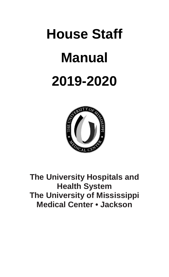# **House Staff Manual 2019-2020**



**The University Hospitals and Health System The University of Mississippi Medical Center • Jackson**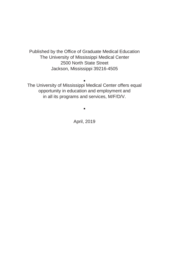Published by the Office of Graduate Medical Education The University of Mississippi Medical Center 2500 North State Street Jackson, Mississippi 39216-4505

Ŷ The University of Mississippi Medical Center offers equal opportunity in education and employment and in all its programs and services, M/F/D/V.

April, 2019

Ŷ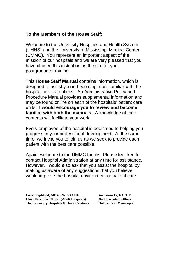#### **To the Members of the House Staff:**

Welcome to the University Hospitals and Health System (UHHS) and the University of Mississippi Medical Center (UMMC). You represent an important aspect of the mission of our hospitals and we are very pleased that you have chosen this institution as the site for your postgraduate training.

This **House Staff Manual** contains information, which is designed to assist you in becoming more familiar with the hospital and its routines. An Administrative Policy and Procedure Manual provides supplemental information and may be found online on each of the hospitals' patient care units. **I would encourage you to review and become familiar with both the manuals**. A knowledge of their contents will facilitate your work.

Every employee of the hospital is dedicated to helping you progress in your professional development. At the same time, we invite you to join us as we seek to provide each patient with the best care possible.

Again, welcome to the UMMC family. Please feel free to contact Hospital Administration at any time for assistance. However, I would also ask that you assist the hospital by making us aware of any suggestions that you believe would improve the hospital environment or patient care.

Liz Youngblood, MBA, RN, FACHE<br> **Chief Executive Officer (Adult Hospitals)** Chief Executive Officer **Chief Executive Officer (Adult Hospitals) Chief Executive Officer** The University Hospitals & Health Systems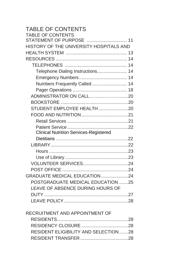| <b>TABLE OF CONTENTS</b>                      |  |
|-----------------------------------------------|--|
| <b>TABLE OF CONTENTS</b>                      |  |
| STATEMENT OF PURPOSE  11                      |  |
| HISTORY OF THE UNIVERSITY HOSPITALS AND       |  |
|                                               |  |
|                                               |  |
|                                               |  |
| Telephone Dialing Instructions 14             |  |
|                                               |  |
| Numbers Frequently Called 14                  |  |
|                                               |  |
|                                               |  |
|                                               |  |
| STUDENT EMPLOYEE HEALTH20                     |  |
|                                               |  |
|                                               |  |
|                                               |  |
| <b>Clinical Nutrition Services-Registered</b> |  |
|                                               |  |
|                                               |  |
|                                               |  |
|                                               |  |
|                                               |  |
|                                               |  |
| GRADUATE MEDICAL EDUCATION24                  |  |
| POSTGRADUATE MEDICAL EDUCATION 25             |  |
| LEAVE OF ABSENCE DURING HOURS OF              |  |
|                                               |  |
|                                               |  |
|                                               |  |
| RECRUITMENT AND APPOINTMENT OF                |  |
|                                               |  |
|                                               |  |

 RESIDENT ELIGIBILITY AND SELECTION.......28 RESIDENT TRANSFER .....................................28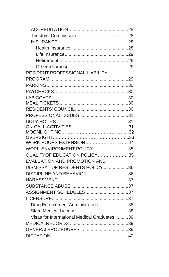| RESIDENT PROFESSIONAL LIABILITY              |  |
|----------------------------------------------|--|
|                                              |  |
|                                              |  |
|                                              |  |
|                                              |  |
|                                              |  |
|                                              |  |
|                                              |  |
|                                              |  |
|                                              |  |
|                                              |  |
| <b>WORK HOURS EXTENSION34</b>                |  |
| WORK ENVIRONMENT POLICY35                    |  |
| QUALITYOF EDUCATION POLICY35                 |  |
| EVALUATION AND PROMOTION AND                 |  |
| DISMISSAL OF RESIDENTS POLICY 36             |  |
| DISCIPLINE AND BEHAVIOR36                    |  |
|                                              |  |
|                                              |  |
| ASSIGNMENT SCHEDULES37                       |  |
|                                              |  |
| Drug Enforcement Administration38            |  |
|                                              |  |
| Visas for International Medical Graduates 39 |  |
|                                              |  |
|                                              |  |
|                                              |  |
|                                              |  |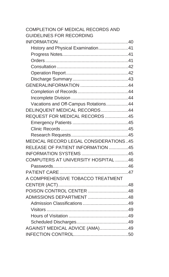| COMPLETION OF MEDICAL RECORDS AND     |  |
|---------------------------------------|--|
| GUIDELINES FOR RECORDING              |  |
|                                       |  |
| History and Physical Examination41    |  |
|                                       |  |
|                                       |  |
|                                       |  |
|                                       |  |
|                                       |  |
|                                       |  |
|                                       |  |
|                                       |  |
| Vacations and Off-Campus Rotations44  |  |
| DELINQUENT MEDICAL RECORDS44          |  |
| REQUEST FOR MEDICAL RECORDS 45        |  |
|                                       |  |
|                                       |  |
|                                       |  |
| MEDICAL RECORD LEGAL CONSIDERATIONS45 |  |
| RELEASE OF PATIENT INFORMATION 45     |  |
|                                       |  |
| COMPUTERS AT UNIVERSITY HOSPITAL 46   |  |
|                                       |  |
|                                       |  |
| A COMPREHENSIVE TOBACCO TREATMENT     |  |
|                                       |  |
| POISON CONTROL CENTER 48              |  |
| ADMISSIONS DEPARTMENT 48              |  |
|                                       |  |
|                                       |  |
|                                       |  |
|                                       |  |
| AGAINST MEDICAL ADVICE (AMA)49        |  |
|                                       |  |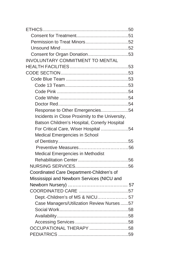| INVOLUNTARY COMMITMENT TO MENTAL                |  |
|-------------------------------------------------|--|
|                                                 |  |
|                                                 |  |
|                                                 |  |
|                                                 |  |
|                                                 |  |
|                                                 |  |
|                                                 |  |
| Response to Other Emergencies54                 |  |
| Incidents in Close Proximity to the University, |  |
| Batson Children's Hospital, Conerly Hospital    |  |
| For Critical Care, Wiser Hospital 54            |  |
| Medical Emergencies in School                   |  |
|                                                 |  |
|                                                 |  |
| Medical Emergencies in Methodist                |  |
|                                                 |  |
|                                                 |  |
| Coordinated Care Department-Children's of       |  |
| Mississippi and Newborn Services (NICU and      |  |
|                                                 |  |
|                                                 |  |
| Dept.-Children's of MS & NICU 57                |  |
| Case Managers/Utilization Review Nurses57       |  |
|                                                 |  |
|                                                 |  |
|                                                 |  |
| OCCUPATIONAL THERAPY 58                         |  |
|                                                 |  |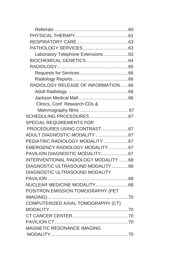| Laboratory Telephone Extensions63    |  |
|--------------------------------------|--|
|                                      |  |
|                                      |  |
|                                      |  |
|                                      |  |
| RADIOLOGY RELEASE OF INFORMATION 66  |  |
|                                      |  |
|                                      |  |
| Clinics, Conf. Research CDs &        |  |
|                                      |  |
|                                      |  |
| <b>SPECIAL REQUIREMENTS FOR</b>      |  |
|                                      |  |
|                                      |  |
| PEDIATRIC RADIOLOGY MODALITY 67      |  |
| EMERGENCY RADIOLOGY MODALITY 67      |  |
|                                      |  |
| INTERVENTIONAL RADIOLOGY MODALITY 68 |  |
| DIAGNOSTIC ULTRASOUND MODALITY68     |  |
| DIAGNOSTIC ULTRASOUND MODALITY       |  |
|                                      |  |
| NUCLEAR MEDICINE MODALITY68          |  |
| POSITRON EMISSION TOMOGRAPHY (PET    |  |
|                                      |  |
| COMPUTERIZED AXIAL TOMOGRAPHY (CT)   |  |
|                                      |  |
|                                      |  |
|                                      |  |
| MAGNETIC RESONANCE IMAGING           |  |
|                                      |  |
|                                      |  |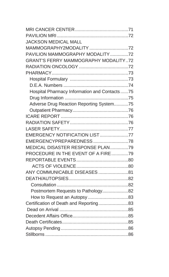| <b>JACKSON MEDICAL MALL</b>                  |  |
|----------------------------------------------|--|
| MAMMOGRAPHY2MODALITY 72                      |  |
| PAVILION MAMMOGRAPHY MODALITY 72             |  |
| GRANT'S FERRY MAMMOGRAPHY MODALITY72         |  |
|                                              |  |
|                                              |  |
|                                              |  |
|                                              |  |
| Hospital Pharmacy Information and Contacts75 |  |
|                                              |  |
| Adverse Drug Reaction Reporting System75     |  |
|                                              |  |
|                                              |  |
|                                              |  |
|                                              |  |
| EMERGENCY NOTIFICATION LIST77                |  |
| EMERGENCYPREPAREDNESS78                      |  |
| MEDICAL DISASTER RESPONSE PLAN79             |  |
| PROCEDURE IN THE EVENT OF A FIRE79           |  |
|                                              |  |
|                                              |  |
| ANY COMMUNICABLE DISEASES 81                 |  |
|                                              |  |
|                                              |  |
| Postmortem Requests to Pathology82           |  |
|                                              |  |
| Certification of Death and Reporting83       |  |
|                                              |  |
|                                              |  |
|                                              |  |
|                                              |  |
|                                              |  |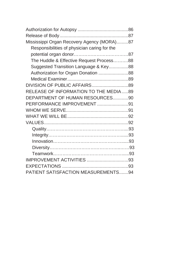| Mississippi Organ Recovery Agency (MORA)87   |  |
|----------------------------------------------|--|
| Responsibilities of physician caring for the |  |
|                                              |  |
| The Huddle & Effective Request Process88     |  |
| Suggested Transition Language & Key88        |  |
| Authorization for Organ Donation 88          |  |
|                                              |  |
| DIVISION OF PUBLIC AFFAIRS89                 |  |
| RELEASE OF INFORMATION TO THE MEDIA 89       |  |
| DEPARTMENT OF HUMAN RESOURCES90              |  |
| PERFORMANCE IMPROVEMENT91                    |  |
|                                              |  |
|                                              |  |
|                                              |  |
|                                              |  |
|                                              |  |
|                                              |  |
|                                              |  |
|                                              |  |
|                                              |  |
|                                              |  |
| <b>PATIENT SATISFACTION MEASUREMENTS94</b>   |  |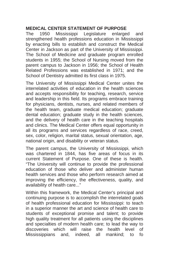#### **MEDICAL CENTER STATEMENT OF PURPOSE**

The 1950 Mississippi Legislature enlarged and strengthened health professions education in Mississippi by enacting bills to establish and construct the Medical Center in Jackson as part of the University of Mississippi. The School of Medicine and graduate program enrolled students in 1955; the School of Nursing moved from the parent campus to Jackson in 1956; the School of Health Related Professions was established in 1971; and the School of Dentistry admitted its first class in 1975.

The University of Mississippi Medical Center unites the interrelated activities of education in the health sciences and accepts responsibility for teaching, research, service and leadership in this field. Its programs embrace training for physicians, dentists, nurses, and related members of the health team, graduate medical education; graduate dental education; graduate study in the health sciences, and the delivery of health care in the teaching hospitals and clinics. The Medical Center offers equal opportunity in all its programs and services regardless of race, creed, sex, color, religion, marital status, sexual orientation, age, national origin, and disability or veteran status.

The parent campus, the University of Mississippi, which was chartered in 1844, has five areas of focus in its current Statement of Purpose. One of these is health. "The University will continue to provide the professional education of those who deliver and administer human health services and those who perform research aimed at improving the efficiency, the effectiveness, quality, and availability of health care..."

Within this framework, the Medical Center's principal and continuing purpose is to accomplish the interrelated goals of health professional education for Mississippi: to teach in a superior manner the art and science of health care to students of exceptional promise and talent; to provide high quality treatment for all patients using the disciplines and specialties of modern health care; to lead the way to discoveries which will raise the health level of raise the health level of Mississippians and, indeed, all mankind; to fo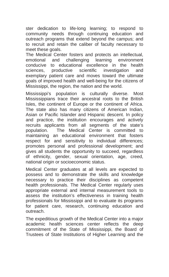ster dedication to life-long learning; to respond to community needs through continuing education and outreach programs that extend beyond the campus; and to recruit and retain the caliber of faculty necessary to meet these goals.

The Medical Center fosters and protects an intellectual, emotional and challenging learning environment conducive to educational excellence in the health sciences, productive scientific investigation and exemplary patient care and moves toward the ultimate goals of improved health and well-being for the citizens of Mississippi, the region, the nation and the world.

Mississippi's population is culturally diverse. Most Mississippians trace their ancestral roots to the British Isles, the continent of Europe or the continent of Africa. The state also has many citizens of American Indian, Asian or Pacific Islander and Hispanic descent. In policy and practice, the institution encourages and actively recruits applicants from all segments of the state's population. The Medical Center is committed to maintaining an educational environment that fosters respect for and sensitivity to individual differences; promotes personal and professional development; and gives all students the opportunity to succeed, regardless of ethnicity, gender, sexual orientation, age, creed, national origin or socioeconomic status.

Medical Center graduates at all levels are expected to possess and to demonstrate the skills and knowledge necessary to practice their disciplines as competent health professionals. The Medical Center regularly uses appropriate external and internal measurement tools to assess the institution's effectiveness in training health professionals for Mississippi and to evaluate its programs for patient care, research, continuing education and outreach.

The expeditious growth of the Medical Center into a major academic health sciences center reflects the deep commitment of the State of Mississippi, the Board of Trustees of State Institutions of Higher Learning and the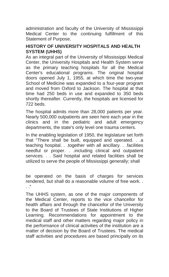administration and faculty of the University of Mississippi Medical Center to the continuing fulfillment of this Statement of Purpose.

# **HISTORY OF UNIVERSITY HOSPITALS AND HEALTH SYSTEM (UHHS)**

As an integral part of the University of Mississippi Medical Center, the University Hospitals and Health System serve as the primary teaching hospitals for all the Medical Center's educational programs. The original hospital doors opened July 1, 1955, at which time the two-year School of Medicine was expanded to a four-year program and moved from Oxford to Jackson. The hospital at that time had 250 beds in use and expanded to 350 beds shortly thereafter. Currently, the hospitals are licensed for 722 beds.

The hospital admits more than 28,000 patients per year. Nearly 500,000 outpatients are seen here each year in the clinics and in the pediatric and adult emergency departments, the state's only level one trauma centers.

In the enabling legislation of 1950, the legislature set forth that "There shall be built, equipped and operated. . .a teaching hospital. . .together with all ancillary. . .facilities needful or proper. . .including clinical and outpatient services. . . Said hospital and related facilities shall be utilized to serve the people of Mississippi generally; shall

be operated on the basis of charges for services rendered, but shall do a reasonable volume of free work. .  $\blacksquare$ 

The UHHS system, as one of the major components of the Medical Center, reports to the vice chancellor for health affairs and through the chancellor of the University to the Board of Trustees of State Institutions of Higher Learning. Recommendations for appointment to the medical staff and other matters regarding major policy in the performance of clinical activities of the institution are a matter of decision by the Board of Trustees. The medical staff activities and procedures are based principally on its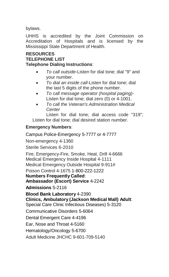bylaws.

UHHS is accredited by the Joint Commission on Accreditation of Hospitals and is licensed by the Mississippi State Department of Health.

#### **RESOURCES TELEPHONE LIST Telephone Dialing Instructions**:

- *To call outside*-Listen for dial tone; dial "9" and your number.
- *To dial an inside call*-Listen for dial tone; dial the last 5 digits of the phone number.
- *To call message operator (hospital paging)* Listen for dial tone; dial zero (0) or 4-1001.
- *To call the Veteran's Administration Medical Center*

Listen for dial tone; dial access code "319"; Listen for dial tone; dial desired station number.

# **Emergency Numbers**:

Campus Police-Emergency 5-7777 or 4-7777 Non-emergency 4-1360 Sterile Services 6-2010 Fire, Emergency-Fire, Smoke, Heat, Drill 4-6666 Medical Emergency Inside Hospital 4-1111 Medical Emergency Outside Hospital 9-911# Poison Control 4-1675 1-800-222-1222 **Numbers Frequently Called**: **Ambassador (Escort) Service** 4-2242 **Admissions** 5-2116 **Blood Bank Laboratory** 4-2390 **Clinics, Ambulatory (Jackson Medical Mall) Adult**: Special Care Clinic Infectious Diseases) 5-3120 Communicative Disorders 5-6064 Dental Emergent Care 4-4196 Ear, Nose and Throat 4-5160 Hematology/Oncology 5-6700 Adult Medicine JHCHC 9-601-709-5140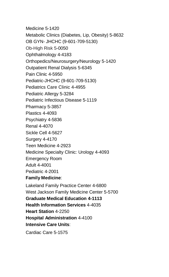Medicine 5-1420 Metabolic Clinics (Diabetes, Lip, Obesity) 5-8632 OB GYN- JHCHC (9-601-709-5130) Ob-High Risk 5-0050 Ophthalmology 4-4183 Orthopedics/Neurosurgery/Neurology 5-1420 Outpatient Renal Dialysis 5-6345 Pain Clinic 4-5950 Pediatric-JHCHC (9-601-709-5130) Pediatrics Care Clinic 4-4955 Pediatric Allergy 5-3284 Pediatric Infectious Disease 5-1119 Pharmacy 5-3857 Plastics 4-4093 Psychiatry 4-5836 Renal 4-4070 Sickle Cell 4-5627 Surgery 4-4170 Teen Medicine 4-2923 Medicine Specialty Clinic: Urology 4-4093 Emergency Room Adult 4-4001 Pediatric 4-2001 **Family Medicine**: Lakeland Family Practice Center 4-6800 West Jackson Family Medicine Center 5-5700 **Graduate Medical Education 4-1113 Health Information Services** 4-4035 **Heart Station** 4-2250

**Hospital Administration** 4-4100

**Intensive Care Units**:

Cardiac Care 5-1575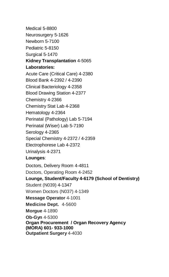Medical 5-8800 Neurosurgery 5-1626 Newborn 5-7100 Pediatric 5-8150 Surgical 5-1470 **Kidney Transplantation** 4-5065 **Laboratories:** Acute Care (Critical Care) 4-2380 Blood Bank 4-2392 / 4-2390 Clinical Bacteriology 4-2358 Blood Drawing Station 4-2377 Chemistry 4-2366 Chemistry Stat Lab 4-2368 Hematology 4-2364 Perinatal (Pathology) Lab 5-7194 Perinatal (Wiser) Lab 5-7190 Serology 4-2365 Special Chemistry 4-2372 / 4-2359 Electrophorese Lab 4-2372 Urinalysis 4-2371 **Lounges**: Doctors, Delivery Room 4-4811 Doctors, Operating Room 4-2452 **Lounge, Student/Faculty 4-6179 (School of Dentistry)** Student (N039) 4-1347 Women Doctors (N037) 4-1349 **Message Operator** 4-1001 **Medicine Dept.** 4-5600 **Morgue** 4-1890 **Ob-Gyn** 4-5300 **Organ Procurement / Organ Recovery Agency (MORA) 601- 933-1000 Outpatient Surgery** 4-4030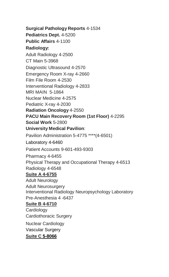**Surgical Pathology Reports** 4-1534 **Pediatrics Dept.** 4-5200 **Public Affairs** 4-1100 **Radiology:** Adult Radiology 4-2500 CT Main 5-3968 Diagnostic Ultrasound 4-2570 Emergency Room X-ray 4-2660 Film File Room 4-2530 Interventional Radiology 4-2833 MRI MAIN 5-1864 Nuclear Medicine 4-2575 Pediatric X-ray 4-2030 **Radiation Oncology** 4-2550 **PACU Main Recovery Room (1st Floor)** 4-2295 **Social Work** 5-2800 **University Medical Pavilion**: Pavilion Administration 5-4775 \*\*\*\*(4-6501)

Laboratory 4-6460

Patient Accounts 9-601-493-9303

Pharmacy 4-6455

Physical Therapy and Occupational Therapy 4-6513 Radiology 4-6548

# **Suite A 4-6755**

Adult Neurology Adult Neurosurgery Interventional Radiology Neuropsychology Laboratory Pre-Anesthesia 4 -6437

# **Suite B 4-6710**

**Cardiology** Cardiothoracic Surgery

Nuclear Cardiology Vascular Surgery **Suite C 5-8066**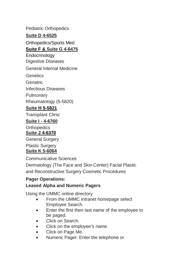Pediatric Orthopedics

**Suite D 4-6525**

Orthopedics/Sports Med

# **Suite F & Suite G 4-6475**

Endocrinology Digestive Diseases

General Internal Medicine

**Genetics** 

**Geriatric** 

Infectious Diseases

Pulmonary

Rheumatology (5-5820)

# **Suite H 5-5821**

Transplant Clinic

# **Suite I - 4-6760**

**Orthopedics Suite J 4-6370**

General Surgery Plastic Surgery **Suite K 5-6064**

Communicative Sciences

Dermatology (The Face and Skin Center) Facial Plastic and Reconstructive Surgery Cosmetic Procedures

### **Pager Operations: Leased Alpha and Numeric Pagers**

Using the UMMC online directory

- From the UMMC intranet homepage select Employee Search.
- Enter the first then last name of the employee to be paged.
- Click on Search.
- Click on the employee's name.
- Click on Page Me.
- Numeric Pager: Enter the telephone or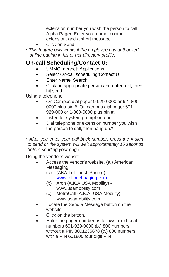extension number you wish the person to call. Alpha Pager: Enter your name, contact extension, and a short message.

- Click on Send.
- *\* This feature only works if the employee has authorized online paging in his or her directory profile.*

# **On-call Scheduling/Contact U:**

- UMMC Intranet: Applications
- Select On-call scheduling/Contact U
- Enter Name, Search
- Click on appropriate person and enter text, then hit send.

Using a telephone

- On Campus dial pager 9-929-0000 or 9-1-800- 0000 plus pin #. Off campus dial pager 601- 929-000 or 1-800-0000 plus pin #.
- Listen for system prompt or tone.
- Dial telephone or extension number you wish the person to call, then hang up.\*

*\* After you enter your call back number, press the # sign to send or the system will wait approximately 15 seconds before sending your page.* 

Using the vendor's website

- Access the vendor's website. (a.) American **Messaging** 
	- (a) (AKA Teletouch Paging) [www.teltouchpaging.com](http://www.teltouchpaging.com/)
	- (b) Arch (A.K.A.USA Mobility) www.usamobility.com
	- (c) MetroCall (A.K.A. USA Mobility) www.usamobility.com
- Locate the Send a Message button on the website.
- Click on the button.
- Enter the pager number as follows: (a.) Local numbers 601-929-0000 (b.) 800 numbers without a PIN 8001235678 (c.) 800 numbers with a PIN 601800 four digit PIN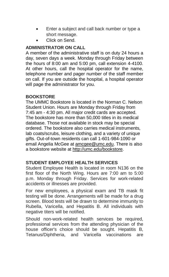- Enter a subject and call back number or type a short message.
- Click on Send.

# **ADMINISTRATOR ON CALL**

A member of the administrative staff is on duty 24 hours a day, seven days a week. Monday through Friday between the hours of 8:00 am and 5:00 pm, call extension 4-4100. At other hours, call the hospital operator for the name, telephone number and pager number of the staff member on call. If you are outside the hospital, a hospital operator will page the administrator for you.

#### **BOOKSTORE**

The UMMC Bookstore is located in the Norman C. Nelson Student Union. Hours are Monday through Friday from 7:45 am - 4:30 pm. All major credit cards are accepted. The bookstore has more than 50,000 titles in its medical database. Those not available in stock may be special ordered. The bookstore also carries medical instruments, lab coats/scrubs, leisure clothing, and a variety of unique gifts. Out-of-town residents can call 1-601-984-1090 or email Angelia McGee a[t amcgee@umc.edu.](mailto:amcgee@umc.edu) There is also a bookstore website a[t http://umc.edu/bookstore.](http://umc.edu/bookstore)

#### **STUDENT EMPLOYEE HEALTH SERVICES**

Student Employee Health is located in room N136 on the first floor of the North Wing. Hours are 7:00 am to 5:00 p.m. Monday through Friday. Services for work-related accidents or illnesses are provided.

For new employees, a physical exam and TB mask fit testing will be done. Arrangements will be made for a drug screen. Blood tests will be drawn to determine immunity to Rubella, Varicella, and Hepatitis B. All individuals with negative titers will be notified.

Should non-work-related health services be required, professional services from the attending physician of the house officer's choice should be sought. Hepatitis B, Tetanus/Diphtheria, and Varicella vaccinations are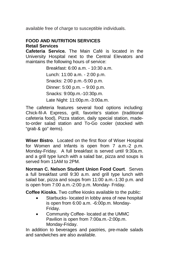available free of charge to susceptible individuals.

# **FOOD AND NUTRITION SERVICES Retail Services**

**Cafeteria Service***.* The Main Café is located in the University Hospital next to the Central Elevators and maintains the following hours of service:

> Breakfast: 6:00 a.m. - 10:30 a.m. Lunch: 11:00 a.m. - 2:00 p.m. Snacks: 2:00 p.m.-5:00 p.m. Dinner: 5:00 p.m. – 9:00 p.m. Snacks: 9:00p.m.-10:30p.m. Late Night: 11:00p.m.-3:00a.m.

The cafeteria features several food options including: Chick-fil-A Express, grill, favorite's station (traditional cafeteria food), Pizza station, daily special station, madeto-order salad station and To-Go cooler (stocked with "grab & go" items).

**Wiser Bistro**. Located on the first floor of Wiser Hospital for Women and Infants is open from 7 a.m.-2 p.m. Monday-Friday. A full breakfast is served until 9:30a.m. and a grill type lunch with a salad bar, pizza and soups is served from 11AM to 2PM.

**Norman C. Nelson Student Union Food Court**. Serves a full breakfast until 9:30 a.m. and grill type lunch with salad bar, pizza and soups from 11:00 a.m.-1:30 p.m. and is open from 7:00 a.m.-2:00 p.m. Monday- Friday.

**Coffee Kiosks.** Two coffee kiosks available to the public:

- Starbucks-located in lobby area of new hospital is open from 6:00 a.m. -6:00p.m. Monday-Friday.
- Community Coffee- located at the UMMC Pavilion is open from 7:00a.m.-2:00p.m. Monday-Friday.

In addition to beverages and pastries, pre-made salads and sandwiches are also available.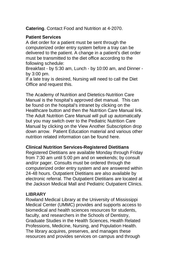**Catering**. Contact Food and Nutrition at 4-2070.

# **Patient Services**

A diet order for a patient must be sent through the computerized order entry system before a tray can be delivered to the patient. A change in a patient's diet order must be transmitted to the diet office according to the following schedule:

Breakfast - by 5:30 am, Lunch - by 10:00 am, and Dinner by 3:00 pm.

If a late tray is desired, Nursing will need to call the Diet Office and request this.

The Academy of Nutrition and Dietetics-Nutrition Care Manual is the hospital's approved diet manual. This can be found on the hospital's intranet by clicking on the Healthcare button and then the Nutrition Care Manual link. The Adult Nutrition Care Manual will pull up automatically but you may switch over to the Pediatric Nutrition Care Manual by clicking on the View Another Subscription drop down arrow. Patient Education material and various other nutrition related information can be found here.

# **Clinical Nutrition Services-Registered Dietitians**

Registered Dietitians are available Monday through Friday from 7:30 am until 5:00 pm and on weekends; by consult and/or pager. Consults must be ordered through the computerized order entry system and are answered within 24-48 hours. Outpatient Dietitians are also available by electronic referral. The Outpatient Dietitians are located at the Jackson Medical Mall and Pediatric Outpatient Clinics.

# **LIBRARY**

Rowland Medical Library at the University of Mississippi Medical Center (UMMC) provides and supports access to biomedical and health sciences resources for students, faculty, and researchers in the Schools of Dentistry, Graduate Studies in the Health Sciences, Health Related Professions, Medicine, Nursing, and Population Health. The library acquires, preserves, and manages these resources and provides services on campus and through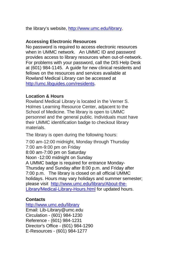the library's website, [http://www.umc.edu/library.](http://www.umc.edu/library) 

#### **Accessing Electronic Resources**

No password is required to access electronic resources when in UMMC network. An UMMC ID and password provides access to library resources when out-of-network. For problems with your password, call the DIS Help Desk at (601) 984-1145. A guide for new clinical residents and fellows on the resources and services available at Rowland Medical Library can be accessed a[t](http://umc.libguides.com/residents) [http://umc.libguides.com/residents.](http://umc.libguides.com/residents) 

#### **Location & Hours**

Rowland Medical Library is located in the Verner S. Holmes Learning Resource Center, adjacent to the School of Medicine. The library is open to UMMC personnel and the general public. Individuals must have their UMMC identification badge to checkout library materials.

The library is open during the following hours:

7:00 am-12:00 midnight, Monday through Thursday 7:00 am-9:00 pm on Friday 8:00 am-7:00 pm on Saturday Noon -12:00 midnight on Sunday A UMMC badge is required for entrance Monday-Thursday and Sunday after 8:00 p.m. and Friday after 7:00 p.m. The library is closed on all official UMMC holidays. Hours may vary holidays and summer semester; please visit [http://www.umc.edu/library/About-the-](http://www.umc.edu/library/About-the-Library/Medical-Library-Hours.html)[Library/Medical-Library-Hours.html](http://www.umc.edu/library/About-the-Library/Medical-Library-Hours.html) for updated hours.

# **Contacts**

<http://www.umc.edu/library> Email: Lib-Library@umc.edu Circulation - (601) 984-1230 Reference - (601) 984-1231 Director's Office - (601) 984-1290 E-Resources - (601) 984-1277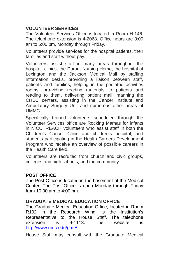### **VOLUNTEER SERVICES**

The Volunteer Services Office is located in Room H-146. The telephone extension is 4-2068. Office hours are 8:00 am to 5:00 pm, Monday through Friday.

Volunteers provide services for the hospital patients, their families and staff without pay.

Volunteers assist staff in many areas throughout the hospital, clinics, the Durant Nursing Home, the hospital at Lexington and the Jackson Medical Mall by staffing information desks, providing a liaison between staff, patients and families, helping in the pediatric activities rooms, pro-viding reading materials to patients and reading to them, delivering patient mail, manning the CHEC centers, assisting in the Cancer Institute and Ambulatory Surgery Unit and numerous other areas of UMMC.

Specifically trained volunteers scheduled through the Volunteer Services office are Rocking Mamas for infants in NICU; REACH volunteers who assist staff in both the Children's Cancer Clinic and children's hospital; and students participating in the Health Careers Development Program who receive an overview of possible careers in the Health Care field.

Volunteers are recruited from church and civic groups, colleges and high schools, and the community.

#### **POST OFFICE**

The Post Office is located in the basement of the Medical Center. The Post Office is open Monday through Friday from 10:00 am to 4:00 pm.

#### **GRADUATE MEDICAL EDUCATION OFFICE**

The Graduate Medical Education Office, located in Room R102 in the Research Wing, is the Institution's Representative to the House Staff. The telephone<br>extension is 4-1113. The website is extension is 4-1113. The website is <http://www.umc.edu/gme/>

House Staff may consult with the Graduate Medical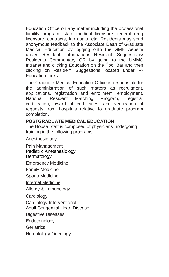Education Office on any matter including the professional liability program, state medical licensure, federal drug licensure, contracts, lab coats, etc. Residents may send anonymous feedback to the Associate Dean of Graduate Medical Education by logging onto the GME website under Resident Information/ Resident Suggestions/ Residents Commentary OR by going to the UMMC Intranet and clicking Education on the Tool Bar and then clicking on Resident Suggestions located under R-Education Links.

The Graduate Medical Education Office is responsible for the administration of such matters as recruitment, applications, registration and enrollment, employment, National Resident Matching Program, registrar certification, award of certificates, and verification of requests from hospitals relative to graduate program completion.

#### **POSTGRADUATE MEDICAL EDUCATION**

The House Staff is composed of physicians undergoing training in the following programs:

Anesthesiology

Pain Management Pediatric Anesthesiology **Dermatology** Emergency Medicine Family Medicine Sports Medicine

Internal Medicine

Allergy & Immunology

Cardiology

Cardiology-Interventional

Adult Congenital Heart Disease

Digestive Diseases

Endocrinology

**Geriatrics** 

Hematology-Oncology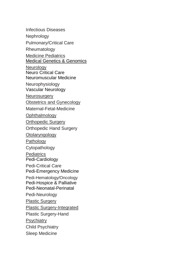Infectious Diseases Nephrology Pulmonary/Critical Care **Rheumatology** Medicine Pediatrics Medical Genetics & Genomics **Neurology** Neuro Critical Care Neuromuscular Medicine Neurophysiology Vascular Neurology Neurosurgery Obstetrics and Gynecology Maternal-Fetal-Medicine **Ophthalmology** Orthopedic Surgery Orthopedic Hand Surgery Otolaryngology Pathology Cytopathology **Pediatrics** Pedi-Cardiology Pedi-Critical Care Pedi-Emergency Medicine Pedi-Hematology/Oncology Pedi-Hospice & Palliative Pedi-Neonatal-Perinatal Pedi-Neurology Plastic Surgery Plastic Surgery-Integrated Plastic Surgery-Hand **Psychiatry** Child Psychiatry Sleep Medicine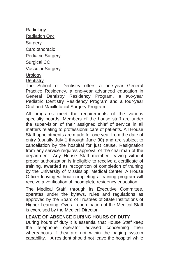Radiology Radiation Onc Surgery Cardiothoracic Pediatric Surgery Surgical CC Vascular Surgery Urology

# **Dentistry**

The School of Dentistry offers a one-year General Practice Residency, a one-year advanced education in General Dentistry Residency Program, a two-year Pediatric Dentistry Residency Program and a four-year Oral and Maxillofacial Surgery Program.

All programs meet the requirements of the various specialty boards. Members of the house staff are under the supervision of their assigned chief of service in all matters relating to professional care of patients. All House Staff appointments are made for one year from the date of entry (usually July 1 through June 30) and are subject to cancellation by the hospital for just cause. Resignation from any service requires approval of the chairman of the department. Any House Staff member leaving without proper authorization is ineligible to receive a certificate of training, awarded as recognition of completion of training by the University of Mississippi Medical Center. A House Officer leaving without completing a training program will receive a verification of incomplete residency education.

The Medical Staff, through its Executive Committee, operates under the bylaws, rules and regulations as approved by the Board of Trustees of State Institutions of Higher Learning. Overall coordination of the Medical Staff is exercised by the Medical Director.

#### **LEAVE OF ABSENCE DURING HOURS OF DUTY**

During hours of duty it is essential that House Staff keep the telephone operator advised concerning their whereabouts if they are not within the paging system capability. A resident should not leave the hospital while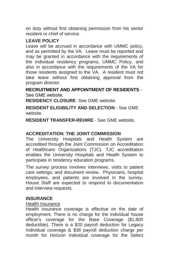on duty without first obtaining permission from his senior resident or chief of service.

#### **LEAVE POLICY**

Leave will be accrued in accordance with UMMC policy, and as permitted by the VA. Leave must be reported and may be granted in accordance with the requirements of the individual residency programs, UMMC Policy, and also in accordance with the requirements of the VA for those residents assigned to the VA. A resident must not take leave without first obtaining approval from the program director.

**RECRUITMENT AND APPOINTMENT OF RESIDENTS** - See GME website.

**RESIDENCY CLOSURE** -See GME website.

**RESIDENT ELIGIBILITY AND SELECTION** - See GME website.

**RESIDENT TRANSFER-REHIRE** - See GME website.

#### **ACCREDITATION**: **THE JOINT COMMISSION**

The University Hospitals and Health System are accredited through the Joint Commission on Accreditation of Healthcare Organizations (TJC). TJC accreditation enables the University Hospitals and Health System to participate in residency education programs.

The survey process involves interviews, visits to patient care settings, and document review. Physicians, hospital employees, and patients are involved in the survey. House Staff are expected to respond to documentation and interview requests.

#### **INSURANCE**

#### Health Insurance

Health insurance coverage is effective on the date of employment. There is no charge for the individual house officer's coverage for the Base Coverage (\$1,800 deductible). There is a \$20 payroll deduction for Legacy Individual coverage & \$38 payroll deduction charge per month for Horizon Individual coverage for the Select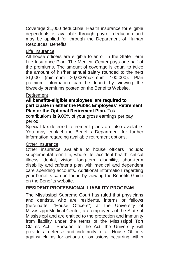Coverage \$1,000 deductible. Health insurance for eligible dependents is available through payroll deduction and may be applied for through the Department of Human Resources: Benefits.

#### Life Insurance

All house officers are eligible to enroll in the State Term Life Insurance Plan. The Medical Center pays one-half of the premiums. The amount of coverage is equal to twice the amount of his/her annual salary rounded to the next \$1,000 (minimum 30,000/maximum 100,000). Plan premium information can be found by viewing the biweekly premiums posted on the Benefits Website.

#### Retirement

#### **All benefits-eligible employees' are required to participate in either the Public Employees' Retirement Plan or the Optional Retirement Plan.** Total

contributions is 9.00% of your gross earnings per pay period.

Special tax-deferred retirement plans are also available. You may contact the Benefits Department for further information regarding available retirement options.

#### Other Insurance

Other insurance available to house officers include: supplemental term life, whole life, accident health, critical illness, dental, vision, long-term disability, short-term disability and cafeteria plan with medical and dependent care spending accounts. Additional information regarding your benefits can be found by viewing the Benefits Guide on the Benefits website.

# **RESIDENT PROFESSIONAL LIABILITY PROGRAM**

The Mississippi Supreme Court has ruled that physicians and dentists, who are residents, interns or fellows (hereinafter "House Officers") at the University of Mississippi Medical Center, are employees of the State of Mississippi and are entitled to the protection and immunity from liability under the terms of the Mississippi Tort Claims Act. Pursuant to the Act, the University will provide a defense and indemnity to all House Officers against claims for actions or omissions occurring within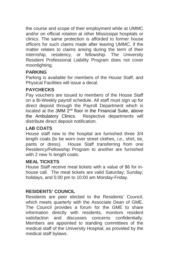the course and scope of their employment while at UMMC and/or on official rotation at other Mississippi hospitals or clinics. The same protection is afforded to former house officers for such claims made after leaving UMMC, if the matter relates to claims arising during the term of their internship, residency, or fellowship. The University Resident Professional Liability Program does not cover moonlighting.

#### **PARKING**

Parking is available for members of the House Staff, and Physical Facilities will issue a decal.

#### **PAYCHECKS**

Pay vouchers are issued to members of the House Staff on a Bi-Weekly payroll schedule. All staff must sign up for direct deposit through the Payroll Department which is located at the JMM 2<sup>nd</sup> floor in the Financial Suite, above the Ambulatory Clinics. Respective departments will distribute direct deposit notification.

#### **LAB COATS**

House staff new to the hospital are furnished three 3/4 length coats (to be worn over street clothes, *i.e.,* shirt, tie, pants or dress). House Staff transferring from one Residency/Fellowship Program to another are furnished with 2 new 3⁄4 length coats.

#### **MEAL TICKETS**

House Staff receive meal tickets with a value of \$6 for inhouse call. The meal tickets are valid Saturday; Sunday; holidays, and 5:00 pm to 10:00 am Monday-Friday.

#### **RESIDENTS' COUNCIL**

Residents are peer elected to the Residents' Council, which meets quarterly with the Associate Dean of GME. The Council provides a forum for the GME to share information directly with residents, monitors resident satisfaction and discusses concerns confidentially. Members are appointed to standing committees of the medical staff of the University Hospital, as provided by the medical staff bylaws.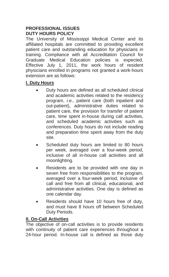#### **PROFESSIONAL ISSUES DUTY HOURS POLICY**

The University of Mississippi Medical Center and its affiliated hospitals are committed to providing excellent patient care and outstanding education for physicians in training. Compliance with all Accreditation Council for Graduate Medical Education policies is expected. Effective July 1, 2011, the work hours of resident physicians enrolled in programs not granted a work-hours extension are as follows:

# **I. Duty Hours**

- Duty hours are defined as all scheduled clinical and academic activities related to the residency program, *i.e.,* patient care (both inpatient and out-patient), administrative duties related to patient care, the provision for transfer of patient care, time spent in-house during call activities, and scheduled academic activities such as conferences. Duty hours do not include reading and preparation time spent away from the duty site.
- Scheduled duty hours are limited to 80 hours per week, averaged over a four-week period, inclusive of all in-house call activities and all moonlighting.
- Residents are to be provided with one day in seven free from responsibilities to the program, averaged over a four-week period, inclusive of call and free from all clinical, educational, and administrative activities. One day is defined as one calendar day.
- Residents should have 10 hours free of duty, and must have 8 hours off between Scheduled Duty Periods.

# **II. On-Call Activities**

The objective of on-call activities is to provide residents with continuity of patient care experiences throughout a 24-hour period. In-house call is defined as those duty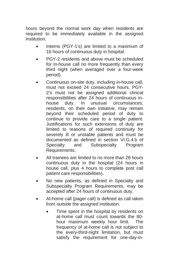hours beyond the normal work day when residents are required to be immediately available in the assigned institution.

- Interns (PGY-1's) are limited to a maximum of 16 hours of continuous duty in hospital.
- PGY-2 residents and above must be scheduled for In-house call no more frequently than every third night (when averaged over a four-week period).
- Continuous on-site duty, including in-house call, must not exceed 24 consecutive hours. PGY-2's must not be assigned additional clinical responsibilities after 24 hours of continuous inhouse duty. In unusual circumstances, residents, on their own initiative, may remain beyond their scheduled period of duty to continue to provide care to a single patient. Justifications for such extensions of duty are limited to reasons of required continuity for severely ill or unstable patients and must be documented as defined in section VI.G.4.b of Specialty and Subspecialty Program Requirements.
- All trainees are limited to no more than 28 hours continuous duty in the hospital (24 hours in house call, plus 4 hours to complete post call patient care responsibilities).
- No new patients, as defined in Specialty and Subspecialty Program Requirements, may be accepted after 24 hours of continuous duty.
- At-home call (pager call) is defined as call taken from outside the assigned institution.
	- Time spent in the hospital by residents on at-home call must count towards the 80 hour maximum weekly hour limit. The frequency of at-home call is not subject to the every-third-night limitation, but must satisfy the requirement for one-day-in-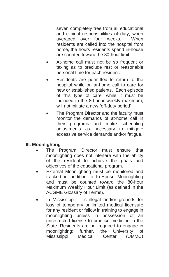seven completely free from all educational and clinical responsibilities of duty, when<br>averaged over four weeks When averaged over four weeks. residents are called into the hospital from home, the hours residents spend in-house are counted toward the 80-hour limit.

- At-home call must not be so frequent or taxing as to preclude rest or reasonable personal time for each resident.
- Residents are permitted to return to the hospital while on at-home call to care for new or established patients. Each episode of this type of care, while it must be included in the 80-hour weekly maximum, will not initiate a new "off-duty period".
- The Program Director and the faculty must monitor the demands of at-home call in their programs and make scheduling adjustments as necessary to mitigate excessive service demands and/or fatigue.

#### **III. Moonlighting**

- The Program Director must ensure that moonlighting does not interfere with the ability of the resident to achieve the goals and objectives of the educational program.
- External Moonlighting must be monitored and tracked in addition to In-House Moonlighting and must be counted toward the 80-hour Maximum Weekly Hour Limit (as defined in the ACGME Glossary of Terms).
- In Mississippi, it is illegal and/or grounds for loss of temporary or limited medical licensure for any resident or fellow in training to engage in moonlighting unless in possession of an unrestricted license to practice medicine in the State. Residents are not required to engage in moonlighting; further, the University of Mississippi Medical Center (UMMC)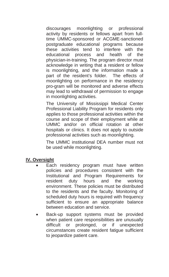discourages moonlighting or professional activity by residents or fellows apart from fulltime UMMC-sponsored or ACGME-sanctioned postgraduate educational programs because these activities tend to interfere with the educational process and health of the physician-in-training. The program director must acknowledge in writing that a resident or fellow is moonlighting, and the information made a part of the resident's folder. The effects of moonlighting on performance in the residency pro-gram will be monitored and adverse effects may lead to withdrawal of permission to engage in moonlighting activities.

The University of Mississippi Medical Center Professional Liability Program for residents only applies to those professional activities within the course and scope of their employment while at UMMC and/or on official rotation at other hospitals or clinics. It does not apply to outside professional activities such as moonlighting.

The UMMC institutional DEA number must not be used while moonlighting.

#### **IV. Oversight**

- Each residency program must have written policies and procedures consistent with the Institutional and Program Requirements for resident duty hours and the working environment. These policies must be distributed to the residents and the faculty. Monitoring of scheduled duty hours is required with frequency sufficient to ensure an appropriate balance between education and service.
- Back-up support systems must be provided when patient care responsibilities are unusually difficult or prolonged, or if unexpected circumstances create resident fatigue sufficient to jeopardize patient care.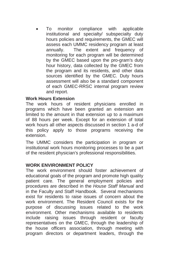• To monitor compliance with applicable institutional and specialty/ subspecialty duty hours policies and requirements, the GMEC will assess each UMMC residency program at least annually. The extent and frequency of monitoring for each program will be determined by the GMEC based upon the pro-gram's duty hour history, data collected by the GMEC from the program and its residents, and other data sources identified by the GMEC. Duty hours assessment will also be a standard component of each GMEC-RRSC internal program review and report.

#### **Work Hours Extension**

The work hours of resident physicians enrolled in programs which have been granted an extension are limited to the amount in that extension up to a maximum of 88 hours per week. Except for an extension of total work hours all other aspects discussed in section 1 a-d of this policy apply to those programs receiving the extension.

The UMMC considers the participation in program or institutional work hours monitoring processes to be a part of the resident physician's professional responsibilities.

#### **WORK ENVIRONMENT POLICY**

The work environment should foster achievement of educational goals of the program and promote high quality patient care. The general employment policies and procedures are described in the *House Staff Manual* and in the Faculty and Staff Handbook. Several mechanisms exist for residents to raise issues of concern about the work environment. The Resident Council exists for the purpose of discussing issues related to the work environment. Other mechanisms available to residents include raising issues through resident or faculty representatives on the GMEC, through the leadership of the house officers association, through meeting with program directors or department leaders, through the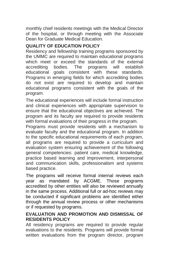monthly chief residents meetings with the Medical Director of the hospital, or through meeting with the Associate Dean for Graduate Medical Education.

# **QUALITY OF EDUCATION POLICY**

Residency and fellowship training programs sponsored by the UMMC are required to maintain educational programs which meet or exceed the standards of the external accrediting bodies. The programs will establish educational goals consistent with these standards. Programs in emerging fields for which accrediting bodies do not exist are required to develop and maintain educational programs consistent with the goals of the program.

The educational experiences will include formal instruction and clinical experiences with appropriate supervision to ensure that the educational objectives are achieved. The program and its faculty are required to provide residents with formal evaluations of their progress in the program.

Programs must provide residents with a mechanism to evaluate faculty and the educational program. In addition to the specific educational requirements of each program, all programs are required to provide a curriculum and evaluation system ensuring achievement of the following general competencies: patient care, medical knowledge, practice based learning and improvement, interpersonal and communication skills, professionalism and systems based practice.

The programs will receive formal internal reviews each year as mandated by ACGME. Those programs accredited by other entities will also be reviewed annually in the same process. Additional full or ad-hoc reviews may be conducted if significant problems are identified either through the annual review process or other mechanisms or if requested by programs.

#### **EVALUATION AND PROMOTION AND DISMISSAL OF RESIDENTS POLICY**

All residency programs are required to provide regular evaluations to the residents. Programs will provide formal written evaluations from the program director, program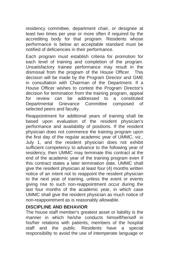residency committee, department chair, or designee at least two times per year or more often if required by the accrediting body for that program. Residents whose performance is below an acceptable standard must be notified of deficiencies in their performance.

Each program must establish criteria for promotion for each level of training and completion of the program. Unsatisfactory trainee performance may result in the dismissal from the program of the House Officer. This decision will be made by the Program Director and GME in consultation with Chairman of the Department. If a House Officer wishes to contest the Program Director's decision for termination from the training program, appeal for review can be addressed to a constituted Departmental Grievance Committee composed of selected peers and faculty.

Reappointment for additional years of training shall be based upon evaluation of the resident physician's performance and availability of positions. If the resident physician does not commence the training program upon the first day of the regular academic year of UMMC, viz., July 1, and the resident physician does not exhibit sufficient competency to advance to the following year of residency, then UMMC may terminate this contract at the end of the academic year of the training program even if this contract states a later termination date. UMMC shall give the resident physician at least four (4) months written notice of an intent not to reappoint the resident physician to the next year of training, unless the event or events giving rise to such non-reappointment occur during the last four months of the academic year, in which case UMMC shall give the resident physician as much notice of non-reappointment as is reasonably allowable.

#### **DISCIPLINE AND BEHAVIOR**

The house staff member's greatest asset or liability is the manner in which he/she conducts himself/herself in his/her relations with patients, members of the hospital staff and the public. Residents have a special responsibility to avoid the use of intemperate language or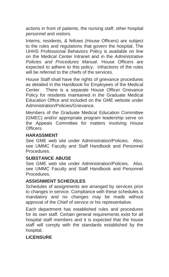actions in front of patients, the nursing staff, other hospital personnel and visitors.

Interns, residents, & fellows (House Officers) are subject to the rules and regulations that govern the hospital. The UHHS Professional Behaviors Policy is available on line on the Medical Center Intranet and in the *Administrative Policies and Procedures Manual*. House Officers are expected to adhere to this policy. Infractions of the rules will be referred to the chiefs of the services.

House Staff shall have the rights of grievance procedures as detailed in the Handbook for Employees of the Medical Center. There is a separate House Officer Grievance Policy for residents maintained in the Graduate Medical Education Office and included on the GME website under Administration/Policies/Grievance.

Members of the Graduate Medical Education Committee (GMEC) and/or appropriate program leadership serve on the Appeals Committee for matters involving House Officers.

#### **HARASSMENT**

See GME web site under Administration/Policies. Also, see UMMC Faculty and Staff Handbook and Personnel Procedures.

#### **SUBSTANCE ABUSE**

See GME web site under Administration/Policies. Also, see UMMC Faculty and Staff Handbook and Personnel Procedures.

#### **ASSIGNMENT SCHEDULES**

Schedules of assignments are arranged by services prior to changes in service. Compliance with these schedules is mandatory and no changes may be made without approval of the Chief of service or his representative.

Each department has established rules and procedures for its own staff. Certain general requirements exist for all hospital staff members and it is expected that the house staff will comply with the standards established by the hospital.

# **LICENSURE**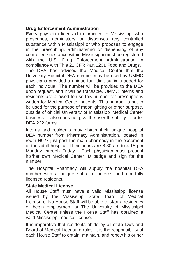# **Drug Enforcement Administration**

Every physician licensed to practice in Mississippi who prescribes, administers or dispenses any controlled substance within Mississippi or who proposes to engage in the prescribing, administering or dispensing of any controlled substance within Mississippi must be registered with the U.S. Drug Enforcement Administration in compliance with Title 21 CFR Part 1201 Food and Drugs. The DEA has advised the Medical Center that the University Hospital DEA number may be used by UMMC physicians provided a unique four-digit suffix is added for each individual. The number will be provided to the DEA upon request, and it will be traceable. UMMC interns and residents are allowed to use this number for prescriptions written for Medical Center patients. This number is not to be used for the purpose of moonlighting or other purpose, outside of official University of Mississippi Medical Center business. It also does not give the user the ability to order DEA 222 forms.

Interns and residents may obtain their unique hospital DEA number from Pharmacy Administration, located in room H027 just past the main pharmacy in the basement of the adult hospital. Their hours are 8:30 am to 4:15 pm Monday through Friday. Each physician must present his/her own Medical Center ID badge and sign for the number.

The Hospital Pharmacy will supply the hospital DEA number with a unique suffix for interns and non-fully licensed residents.

#### **State Medical License**

All House Staff must have a valid Mississippi license issued by the Mississippi State Board of Medical Licensure. No House Staff will be able to start a residency or begin employment at The University of Mississippi Medical Center unless the House Staff has obtained a valid Mississippi medical license.

It is imperative that residents abide by all state laws and Board of Medical Licensure rules. It is the responsibility of each House Staff to obtain, maintain, and renew his or her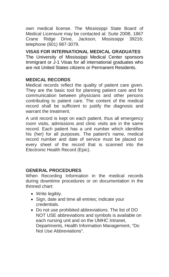own medical license. The Mississippi State Board of Medical Licensure may be contacted at: Suite 200B, 1867<br>Crane Ridge Drive. Jackson. Mississippi 39216: Drive, Jackson, Mississippi 39216; telephone (601) 987-3079.

**VISAS FOR INTERNATIONAL MEDICAL GRADUATES**  The University of Mississippi Medical Center sponsors Immigrant or J-1 Visas for all international graduates who are not United States citizens or Permanent Residents.

# **MEDICAL RECORDS**

Medical records reflect the quality of patient care given. They are the basic tool for planning patient care and for communication between physicians and other persons contributing to patient care. The content of the medical record shall be sufficient to justify the diagnosis and warrant the treatment.

A unit record is kept on each patient, thus all emergency room visits, admissions and clinic visits are in the same record. Each patient has a unit number which identifies his (her) for all purposes. The patient's name, medical record number and date of service must be placed on every sheet of the record that is scanned into the Electronic Health Record (Epic).

#### **GENERAL PROCEDURES**

When Recording Information in the medical records during downtime procedures or on documentation in the thinned chart:

- Write legibly.
- Sign, date and time all entries; indicate your credentials.
- Do not use prohibited abbreviations. The list of DO NOT USE abbreviations and symbols is available on each nursing unit and on the UMHC Intranet, Departments, Health Information Management, "Do Not Use Abbreviations".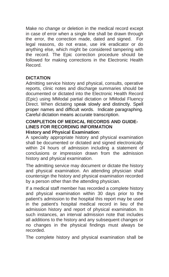Make no change or deletion in the medical record except in case of error when a single line shall be drawn through the error, the correction made, dated and signed. For legal reasons, do not erase, use ink eradicator or do anything else, which might be considered tampering with the record. The Epic correction procedure should be followed for making corrections in the Electronic Health Record.

#### **DICTATION**

Admitting service history and physical, consults, operative reports, clinic notes and discharge summaries should be documented or dictated into the Electronic Health Record (Epic) using MModal partial dictation or MModal Fluency Direct. When dictating speak slowly and distinctly. Spell proper names and difficult words. Indicate paragraphing. Careful dictation means accurate transcription.

#### **COMPLETION OF MEDICAL RECORDS AND GUIDE-LINES FOR RECORDING INFORMATION History and Physical Examination**:

A specialty appropriate history and physical examination shall be documented or dictated and signed electronically within 24 hours of admission including a statement of conclusions or impression drawn from the admission history and physical examination.

The admitting service may document or dictate the history and physical examination. An attending physician shall countersign the history and physical examination recorded by a person other than the attending physician.

If a medical staff member has recorded a complete history and physical examination within 30 days prior to the patient's admission to the hospital this report may be used in the patient's hospital medical record in lieu of the admission history and report of physical examination. In such instances, an interval admission note that includes all additions to the history and any subsequent changes or no changes in the physical findings must always be recorded.

The complete history and physical examination shall be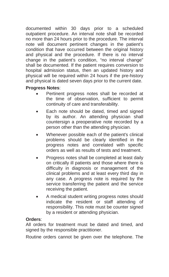documented within 30 days prior to a scheduled outpatient procedure. An interval note shall be recorded no more than 24 hours prior to the procedure. The interval note will document pertinent changes in the patient's condition that have occurred between the original history and physical and the procedure. If there is no interval change in the patient's condition, "no interval change" shall be documented. If the patient requires conversion to hospital admission status, then an updated history and physical will be required within 24 hours if the pre-history and physical is dated seven days prior to the current date.

# **Progress Notes**:

- Pertinent progress notes shall be recorded at the time of observation, sufficient to permit continuity of care and transferability.
- Each note should be dated, timed and signed by its author. An attending physician shall countersign a preoperative note recorded by a person other than the attending physician.
- Whenever possible each of the patient's clinical problems should be clearly identified in the progress notes and correlated with specific orders as well as results of tests and treatment.
- Progress notes shall be completed at least daily on critically ill patients and those where there is difficulty in diagnosis or management of the clinical problems and at least every third day in any case. A progress note is required by the service transferring the patient and the service receiving the patient.
- A medical student writing progress notes should indicate the resident or staff attending of responsibility. This note must be counter signed by a resident or attending physician.

# **Orders**:

All orders for treatment must be dated and timed, and signed by the responsible practitioner.

Routine orders cannot be given over the telephone. The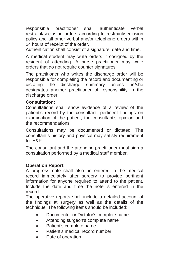responsible practitioner shall authenticate verbal restraint/seclusion orders according to restraint/seclusion policy and all other verbal and/or telephone orders within 24 hours of receipt of the order.

Authentication shall consist of a signature, date and time.

A medical student may write orders if cosigned by the resident of attending. A nurse practitioner may write orders that do not require counter signatures.

The practitioner who writes the discharge order will be responsible for completing the record and documenting or dictating the discharge summary unless he/she designates another practitioner of responsibility in the discharge order.

#### **Consultation:**

Consultations shall show evidence of a review of the patient's record by the consultant, pertinent findings on examination of the patient, the consultant's opinion and the recommendations.

Consultations may be documented or dictated. The consultant's history and physical may satisfy requirement for H&P.

The consultant and the attending practitioner must sign a consultation performed by a medical staff member.

#### **Operation Report**:

A progress note shall also be entered in the medical record immediately after surgery to provide pertinent information for anyone required to attend to the patient. Include the date and time the note is entered in the record.

The operative reports shall include a detailed account of the findings at surgery as well as the details of the technique. The following items should be included:

- Documenter or Dictator's complete name
- Attending surgeon's complete name
- Patient's complete name
- Patient's medical record number
- Date of operation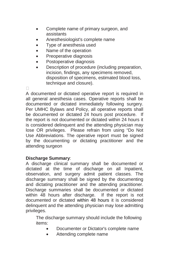- Complete name of primary surgeon, and assistants
- Anesthesiologist's complete name
- Type of anesthesia used
- Name of the operation
- Preoperative diagnosis
- Postoperative diagnosis
- Description of procedure (including preparation, incision, findings, any specimens removed, disposition of specimens, estimated blood loss, technique and closure).

п

A documented or dictated operative report is required in all general anesthesia cases. Operative reports shall be documented or dictated immediately following surgery. Per UMHC Bylaws and Policy, all operative reports shall be documented or dictated 24 hours post procedure. If the report is not documented or dictated within 24 hours it is considered delinquent and the attending physician may lose OR privileges. Please refrain from using "Do Not Use Abbreviations. The operative report must be signed by the documenting or dictating practitioner and the attending surgeon

#### **Discharge Summary**:

A discharge clinical summary shall be documented or dictated at the time of discharge on all Inpatient, observation, and surgery admit patient classes. The discharge summary shall be signed by the documenting and dictating practitioner and the attending practitioner. Discharge summaries shall be documented or dictated within 48 hours after discharge. If the report is not documented or dictated within 48 hours it is considered delinquent and the attending physician may lose admitting privileges.

The discharge summary should include the following items:

- Documenter or Dictator's complete name
- Attending complete name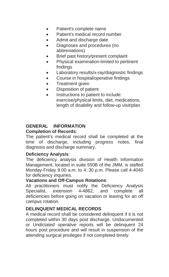- Patient's complete name
- Patient's medical record number
- Admit and discharge date
- Diagnoses and procedures (no abbreviations)
- Brief past history/present complaint
- Physical examination-limited to pertinent findings
- Laboratory results/x-ray/diagnostic findings
- Course in hospital/operative findings
- Treatment given
- Disposition of patient
- Instructions to patient to include: exercise/physical limits, diet, medications, length of disability and follow-up visit/plan.

#### **GENERAL INFORMATION Completion of Records**:

The patient's medical record shall be completed at the time of discharge, including progress notes, final diagnosis and discharge summary.

#### **Deficiency Analysis**:

The deficiency analysis division of Health Information Management, located in suite 550B of the JMM, is staffed Monday-Friday 8:00 a.m. to 4:.30 p.m. Please call 4-4040 for deficiency inquiries.

#### **Vacations and Off-Campus Rotations**:

All practitioners must notify the Deficiency Analysis Specialist, extension 4-4862, and complete all deficiencies before going on vacation or leaving for an off campus rotation.

# **DELINQUENT MEDICAL RECORDS**

A medical record shall be considered delinquent if it is not completed within 30 days post discharge. Undocumented or Undictated operative reports will be delinquent 24 hours post procedure and will result in suspension of the attending surgical privileges if not completed timely.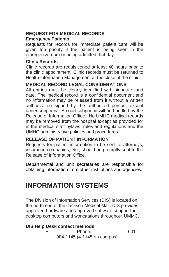# **REQUEST FOR MEDICAL RECORDS Emergency Patients**:

Requests for records for immediate patient care will be given top priority if the patient is being seen in the emergency room or being admitted that day.

#### **Clinic Records**:

Clinic records are requisitioned at least 48 hours prior to the clinic appointment. Clinic records must be returned to Health Information Management at the close of the clinic.

# **MEDICAL RECORD LEGAL CONSIDERATIONS**

All entries must be clearly identified with signature and date. The medical record is a confidential document and no information may be released from it without a written authorization signed by the authorized person, except under subpoena. A court subpoena will be handled by the Release of Information Office. No UMHC medical records may be removed from the hospital except as provided for in the medical staff bylaws, rules and regulations and the UMHC administrative policies and procedures.

# **RELEASE OF PATIENT INFORMATION**

Requests for patient information to be sent to attorneys, insurance companies, etc., should be promptly sent to the Release of Information Office.

Departmental and unit secretaries are responsible for obtaining information from other institutions and agencies.

# **INFORMATION SYSTEMS**

The Division of Information Services (DIS) is located on the north end of the Jackson Medical Mall. DIS provides approved hardware and approved software support for desktop computers and workstations throughout UMMC.

# **DIS Help Desk contact methods:**

• Phone: 601- 984-1145 (4-1145 on campus)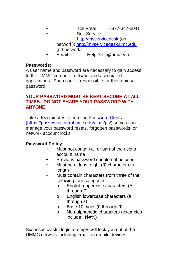- Toll Free: 1-877-347-5041 Self Service: [http://myservicedesk](http://myservicedesk/) (on network)[; http://myservicedesk.umc.edu](http://myservicedesk.umc.edu/) (off network)
	- Email HelpDesk@umc.edu

#### **Passwords**:

A user name and password are necessary to gain access to the UMMC computer network and associated applications. Each user is responsible for their unique password.

#### **YOUR PASSWORD MUST BE KEPT SECURE AT ALL TIMES. DO NOT SHARE YOUR PASSWORD WITH ANYONE!**

Take a few minutes to enroll in [Password Central](http://passwordcentral.umc.edu/) [\(https://passwordcentral.umc.edu/aims/ps/\)](https://passwordcentral.umc.edu/aims/ps/) so you can manage your password resets, forgotten passwords, or network account locks.

#### **Password Policy**:

- Must not contain all or part of the user's account name
- Previous password should not be used
- Must be at least eight (8) characters in length
- Must contain characters from three of the following four categories:
	- o English uppercase characters (A through Z)
	- o English lowercase characters (a through z)
	- o Base 10 digits (0 through 9)
	- o Non-alphabetic characters (examples include: !\$#%)

Six unsuccessful login attempts will lock you out of the UMMC network including email on mobile devices.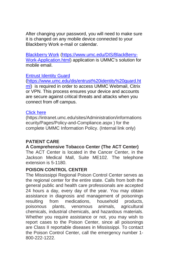After changing your password, you will need to make sure it is changed on any mobile device connected to your Blackberry Work e-mail or calendar.

[Blackberry Work](https://www.umc.edu/DIS/BlackBerry-Work-Application.html) [\(https://www.umc.edu/DIS/BlackBerry-](https://www.umc.edu/DIS/BlackBerry-Work-Application.html)[Work-Application.html\)](https://www.umc.edu/DIS/BlackBerry-Work-Application.html) application is UMMC's solution for mobile email.

#### [Entrust Identity Guard](https://www.umc.edu/dis/entrust%20identity%20guard.html)

[\(https://www.umc.edu/dis/entrust%20identity%20guard.ht](https://www.umc.edu/dis/entrust%20identity%20guard.html) [ml\)](https://www.umc.edu/dis/entrust%20identity%20guard.html) is required in order to access UMMC Webmail, Citrix or VPN. This process ensures your device and accounts are secure against critical threats and attacks when you connect from off campus.

#### [Click here](https://intranet.umc.edu/sites/Administration/informationsecurity/Pages/Policy-and-Compliance.aspx)

(https://intranet.umc.edu/sites/Administration/informations ecurity/Pages/Policy-and-Compliance.aspx ) for the complete UMMC Information Policy. (Internal link only)

#### **PATIENT CARE**

# **A Comprehensive Tobacco Center (The ACT Center)**

The ACT Center is located in the Cancer Center, in the Jackson Medical Mall, Suite ME102. The telephone extension is 5-1180.

#### **POISON CONTROL CENTER**

The Mississippi Regional Poison Control Center serves as the regional center for the entire state. Calls from both the general public and health care professionals are accepted 24 hours a day, every day of the year. You may obtain assistance in diagnosis and management of poisonings from medications, household products, poisonous plants, venomous animals, agricultural chemicals, industrial chemicals, and hazardous materials. Whether you require assistance or not, you may wish to report cases to the Poison Center, since all poisonings are Class II reportable diseases in Mississippi. To contact the Poison Control Center, call the emergency number 1- 800-222-1222.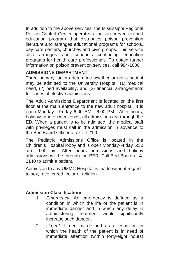In addition to the above services, the Mississippi Regional Poison Control Center operates a poison prevention and education program that distributes poison prevention literature and arranges educational programs for schools, day-care centers, churches and civic groups. This service also arranges and conducts continuing education programs for health care professionals. To obtain further information on poison prevention services, call 984-1680.

# **ADMISSIONS DEPARTMENT**

Three primary factors determine whether or not a patient may be admitted to the University Hospital: (1) medical need, (2) bed availability, and (3) financial arrangements for cases of elective admissions.

The Adult Admissions Department is located on the first floor at the main entrance to the new adult hospital. It is open Monday - Friday 6:00 AM - 6:00 PM. After hours, holidays and on weekends, all admissions are through the ED. When a patient is to be admitted, the medical staff with privileges must call in the admission in advance to the Bed Board Officer at ext. 4-2140.

The Pediatric Admissions Office is located in the Children's Hospital lobby and is open Monday-Friday 5:30 am -9:00 pm. After hours admissions and holiday admissions will be through the PER. Call Bed Board at 4- 2140 to admit a patient.

Admission to any UMMC Hospital is made without regard to sex, race, creed, color or religion.

#### **Admission Classifications**

- 1. *Emergency*: An emergency is defined as a condition in which the life of the patient is in immediate danger and in which any delay in administering treatment would significantly increase such danger.
- 2. *Urgent*: Urgent is defined as a condition in which the health of the patient is in need of immediate attention (within forty-eight hours)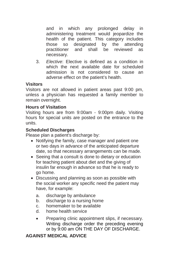and in which any prolonged delay in administering treatment would jeopardize the health of the patient. This category includes those so designated by the attending practitioner and shall be reviewed as necessary.

3. *Elective*: Elective is defined as a condition in which the next available date for scheduled admission is not considered to cause an adverse effect on the patient's health.

# **Visitors**

Visitors are not allowed in patient areas past 9:00 pm, unless a physician has requested a family member to remain overnight.

# **Hours of Visitation**

Visiting hours are from 9:00am - 9:00pm daily. Visiting hours for special units are posted on the entrance to the units.

#### **Scheduled Discharges**

Please plan a patient's discharge by:

- Notifying the family, case manager and patient one or two days in advance of the anticipated departure date, so that necessary arrangements can be made.
- Seeing that a consult is done to dietary or education for teaching patient about diet and the giving of insulin far enough in advance so that he is ready to go home.
- Discussing and planning as soon as possible with the social worker any specific need the patient may have, for example:
	- a. discharge by ambulance
	- b. discharge to a nursing home
	- c. homemaker to be available
	- d. home health service
	- Preparing clinic appointment slips, if necessary. Writing discharge order the preceding evening or by 9:00 am ON THE DAY OF DISCHARGE.

# **AGAINST MEDICAL ADVICE**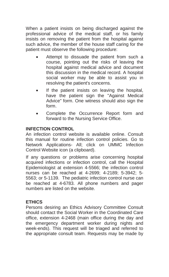When a patient insists on being discharged against the professional advice of the medical staff, or his family insists on removing the patient from the hospital against such advice, the member of the house staff caring for the patient must observe the following procedure:

- Attempt to dissuade the patient from such a course, pointing out the risks of leaving the hospital against medical advice and document this discussion in the medical record. A hospital social worker may be able to assist you in resolving the patient's concerns.
- If the patient insists on leaving the hospital, have the patient sign the "Against Medical Advice" form. One witness should also sign the form.
- Complete the Occurrence Report form and forward to the Nursing Service Office.

# **INFECTION CONTROL**

An infection control website is available online. Consult this manual for routine infection control policies. Go to Network Applications- All; click on UMMC Infection Control Website icon (a clipboard).

If any questions or problems arise concerning hospital acquired infections or infection control, call the Hospital Epidemiologist at extension 4-5566; the infection control nurses can be reached at 4-2699; 4-2189; 5-3942; 5- 5563; or 5-1139. The pediatric infection control nurse can be reached at 4-6783. All phone numbers and pager numbers are listed on the website.

# **ETHICS**

Persons desiring an Ethics Advisory Committee Consult should contact the Social Worker in the Coordinated Care office, extension 4-2468 (main office during the day and the emergency department worker during nights and week-ends). This request will be triaged and referred to the appropriate consult team. Requests may be made by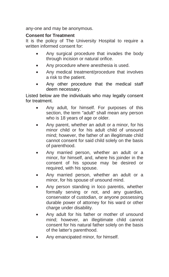any-one and may be anonymous.

## **Consent for Treatment**

It is the policy of The University Hospital to require a written informed consent for:

- Any surgical procedure that invades the body through incision or natural orifice.
- Any procedure where anesthesia is used.
- Any medical treatment/procedure that involves a risk to the patient.
- Any other procedure that the medical staff deem necessary.

Listed below are the individuals who may legally consent for treatment.

- Any adult, for himself. For purposes of this section, the term "adult" shall mean any person who is 18 years of age or older.
- Any parent, whether an adult or a minor, for his minor child or for his adult child of unsound mind; however, the father of an illegitimate child cannot consent for said child solely on the basis of parenthood.
- Any married person, whether an adult or a minor, for himself, and, where his joinder in the consent of his spouse may be desired or required, with his spouse.
- Any married person, whether an adult or a minor, for his spouse of unsound mind.
- Any person standing in loco parentis, whether formally serving or not, and any guardian, conservator of custodian, or anyone possessing durable power of attorney for his ward or other charge under disability.
- Any adult for his father or mother of unsound mind; however, an illegitimate child cannot consent for his natural father solely on the basis of the latter's parenthood.
- Any emancipated minor, for himself.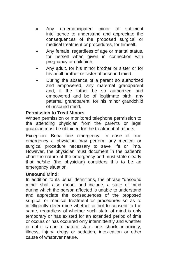- Any un-emancipated minor of sufficient intelligence to understand and appreciate the consequences of the proposed surgical or medical treatment or procedures, for himself.
- Any female, regardless of age or marital status, for herself when given in connection with pregnancy or childbirth.
- Any adult, for his minor brother or sister or for his adult brother or sister of unsound mind.
- During the absence of a parent so authorized and empowered, any maternal grandparent and, if the father be so authorized and empowered and be of legitimate birth, any paternal grandparent, for his minor grandchild of unsound mind.

#### **Permission to Treat Minors**:

Written permission or monitored telephone permission to the attending physician from the parents or legal guardian must be obtained for the treatment of minors.

Exception: Bona fide emergency. In case of true emergency a physician may perform any medical or surgical procedure necessary to save life or limb. However, the physician must document in the patient's chart the nature of the emergency and must state clearly that he/she (the physician) considers this to be an emergency situation.

#### **Unsound Mind:**

In addition to its usual definitions, the phrase "unsound mind" shall also mean, and include, a state of mind during which the person affected is unable to understand and appreciate the consequences of the proposed surgical or medical treatment or procedures so as to intelligently deter-mine whether or not to consent to the same, regardless of whether such state of mind is only temporary or has existed for an extended period of time or occurs or has occurred only intermittently and whether or not it is due to natural state, age, shock or anxiety, illness, injury, drugs or sedation, intoxication or other cause of whatever nature.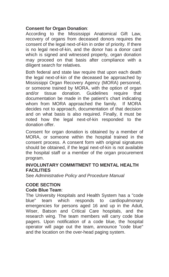# **Consent for Organ Donation**:

According to the Mississippi Anatomical Gift Law, recovery of organs from deceased donors requires the consent of the legal next-of-kin in order of priority. If there is no legal next-of-kin, and the donor has a donor card which is signed and witnessed properly, organ donation may proceed on that basis after compliance with a diligent search for relatives.

Both federal and state law require that upon each death the legal next-of-kin of the deceased be approached by Mississippi Organ Recovery Agency (MORA) personnel, or someone trained by MORA, with the option of organ and/or tissue donation. Guidelines require that documentation be made in the patient's chart indicating whom from MORA approached the family. If MORA decides not to approach, documentation of that decision and on what basis is also required. Finally, it must be noted how the legal next-of-kin responded to the donation offer.

Consent for organ donation is obtained by a member of MORA, or someone within the hospital trained in the consent process. A consent form with original signatures should be obtained, if the legal next-of-kin is not available the hospital staff or a member of the organ procurement program.

#### **INVOLUNTARY COMMITMENT TO MENTAL HEALTH FACILITIES**

See *Administrative Policy and Procedure Manual* 

# **CODE SECTION**

#### **Code Blue Team**:

The University Hospitals and Health System has a "code blue" team which responds to cardiopulmonary emergencies for persons aged 16 and up in the Adult, Wiser, Batson and Critical Care hospitals, and the research wing. The team members will carry code blue pagers. Upon notification of a code blue, the hospital operator will page out the team, announce "code blue" and the location on the over-head paging system.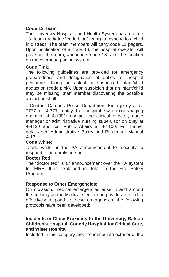# **Code 13 Team**:

The University Hospitals and Health System has a "code 13" team (pediatric "code blue" team) to respond to a child in distress. The team members will carry code 13 pagers. Upon notification of a code 13, the hospital operator will page out the team, announce "code 13" and the location on the overhead paging system.

#### **Code Pink**:

The following guidelines are provided for emergency preparedness and designation of duties for hospital personnel during an actual or suspected infant/child abduction (code pink). Upon suspicion that an infant/child may be missing, staff member discovering the possible abduction shall:

\* Contact Campus Police Department Emergency at 5- 7777 or 4-777; notify the hospital switchboard/paging operator at 4-1001; contact the clinical director, nurse manager or administrative nursing supervisor on duty at 4-4130 and call Public Affairs at 4-1100. For further details see Administrative Policy and Procedure Manual A-17.

#### **Code White**:

"Code white" is the PA announcement for security to respond to an unruly person.

#### **Doctor Red:**

The "doctor red" is an announcement over the PA system for FIRE. It is explained in detail in the Fire Safety Program.

#### **Response to Other Emergencies**:

On occasion, medical emergencies arise in and around the building on the Medical Center campus. In an effort to effectively respond to these emergencies, the following protocols have been developed:

#### **Incidents in Close Proximity to the University, Batson Children's Hospital, Conerly Hospital for Critical Care, and Wiser Hospital**

Included in this category are: the immediate exterior of the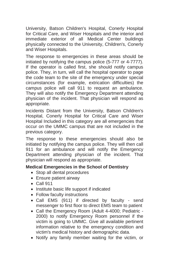University, Batson Children's Hospital, Conerly Hospital for Critical Care, and Wiser Hospitals and the interior and immediate exterior of all Medical Center buildings physically connected to the University, Children's, Conerly and Wiser Hospitals.

The response to emergencies in these areas should be initiated by notifying the campus police (5-777 or 4-7777). If the operator is called first, she should notify campus police. They, in turn, will call the hospital operator to page the code team to the site of the emergency under special circumstances (for example, extrication difficulties) the campus police will call 911 to request an ambulance. They will also notify the Emergency Department attending physician of the incident. That physician will respond as appropriate.

Incidents Distant from the University, Batson Children's Hospital, Conerly Hospital for Critical Care and Wiser Hospital Included in this category are all emergencies that occur on the UMMC campus that are not included in the previous category.

The response to these emergencies should also be initiated by notifying the campus police. They will then call 911 for an ambulance and will notify the Emergency Department attending physician of the incident. That physician will respond as appropriate.

#### **Medical Emergencies in the School of Dentistry**

- Stop all dental procedures
- Ensure patient airway
- Call 911
- Institute basic life support if indicated
- Follow faculty instructions
- Call EMS (911) if directed by faculty send messenger to first floor to direct EMS team to patient
- Call the Emergency Room (Adult 4-4000; Pediatric 2000) to notify Emergency Room personnel if the victim is going to UMMC. Give all available pertinent information relative to the emergency condition and victim's medical history and demographic data.
- Notify any family member waiting for the victim, or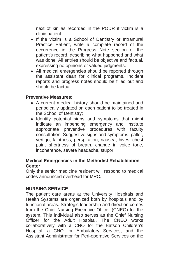next of kin as recorded in the PODR if victim is a clinic patient.

- If the victim is a School of Dentistry or Intramural Practice Patient, write a complete record of the occurrence in the Progress Note section of the patient's record, describing what happened and what was done. All entries should be objective and factual, expressing no opinions or valued judgments.
- All medical emergencies should be reported through the assistant dean for clinical programs. Incident reports and progress notes should be filled out and should be factual.

#### **Preventive Measures**:

- A current medical history should be maintained and periodically updated on each patient to be treated in the School of Dentistry;
- Identify potential signs and symptoms that might indicate an impending emergency and institute appropriate preventive procedures with faculty consultation. Suggestive signs and symptoms: pallor, vertigo, faintness, perspiration, nausea, hives, chest pain, shortness of breath, change in voice tone, incoherence, severe headache, stupor.

#### **Medical Emergencies in the Methodist Rehabilitation Center**

Only the senior medicine resident will respond to medical codes announced overhead for MRC.

#### **NURSING SERVICE**

The patient care areas at the University Hospitals and Health Systems are organized both by hospitals and by functional areas. Strategic leadership and direction comes from the Chief Nursing Executive Officer (CNEO) for the system. This individual also serves as the Chief Nursing Officer for the Adult Hospital. The CNEO works collaboratively with a CNO for the Batson Children's Hospital, a CNO for Ambulatory Services, and the Assistant Administrator for Peri-operative Services on the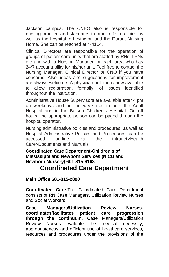Jackson campus. The CNEO also is responsible for nursing practice and standards in other off-site clinics as well as the hospital in Lexington and the Durant Nursing Home. She can be reached at 4-4114.

Clinical Directors are responsible for the operation of groups of patient care units that are staffed by RNs, LPNs etc and with a Nursing Manager for each area who has 24/7 accountability for his/her unit. Feel free to contact the Nursing Manager, Clinical Director or CNO if you have concerns. Also, ideas and suggestions for improvement are always welcome. A physician hot line is now available to allow registration, formally, of issues identified throughout the institution.

Administrative House Supervisors are available after 4 pm on weekdays and on the weekends in both the Adult Hospital and in the Batson Children's Hospital. On off hours, the appropriate person can be paged through the hospital operator.

Nursing administrative policies and procedures, as well as Hospital Administrative Policies and Procedures, can be accessed on-line via the intranet>Health Care>Documents and Manuals.

# **Coordinated Care Department-Children's of Mississippi and Newborn Services (NICU and Newborn Nursery) 601-815-6168**

# **Coordinated Care Department**

# **Main Office 601-815-2800**

**Coordinated Care-**The Coordinated Care Department consists of RN Case Managers, Utilization Review Nurses and Social Workers.

**Case Managers/Utilization Review Nursescoordinates/facilitates patient care progression through the continuum.** Case Managers/Utilization<br>Review Nurses evaluate the medical necessity. Review Nurses evaluate the medical necessity, appropriateness and efficient use of healthcare services, resources and procedures under the provisions of the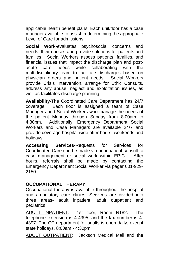applicable health benefit plans. Each unit/floor has a case manager available to assist in determining the appropriate Level of Care for admissions.

**Social Work-**evaluates psychosocial concerns and needs, their causes and provide solutions for patients and families. Social Workers assess patients, families, and financial issues that impact the discharge plan and postacute care needs while collaborating with the multidisciplinary team to facilitate discharges based on physician orders and patient needs. Social Workers provide Crisis Intervention, arrange for Ethic Consults, address any abuse, neglect and exploitation issues, as well as facilitates discharge planning.

**Availability-**The Coordinated Care Department has 24/7 coverage. Each floor is assigned a team of Case Managers and Social Workers who manage the needs of the patient Monday through Sunday from 8:00am to 4:30pm. Additionally, Emergency Department Social Workers and Case Managers are available 24/7 and provide coverage hospital wide after hours, weekends and holidays

**Accessing Services-**Requests for Services for Coordinated Care can be made via an inpatient consult to case management or social work within EPIC. After hours, referrals shall be made by contacting the Emergency Department Social Worker via pager 601-929- 2150.

# **OCCUPATIONAL THERAPY**

Occupational therapy is available throughout the hospital and ambulatory care clinics. Services are divided into three areas- adult inpatient, adult outpatient and pediatrics.

ADULT INPATIENT: 1st floor, Room N182. The telephone extension is 4-4395, and the fax number is 4- 4397. The OT department for adults is open daily, except state holidays, 8:00am - 4:30pm.

ADULT OUTPATIENT: Jackson Medical Mall and the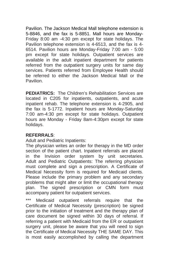Pavilion. The Jackson Medical Mall telephone extension is 5-8846, and the fax is 5-8851. Mall hours are Monday-Friday 8:00 am -4:30 pm except for state holidays. The Pavilion telephone extension is 4-6513, and the fax is 4- 6514. Pavilion hours are Monday-Friday 7:00 am - 5:00 pm except for state holidays. Outpatient services are available in the adult inpatient department for patients referred from the outpatient surgery units for same day services. Patients referred from Employee Health should be referred to either the Jackson Medical Mall or the Pavilion.

**PEDIATRICS:** The Children's Rehabilitation Services are located in C205 for inpatients, outpatients, and acute inpatient rehab. The telephone extension is 4-2905, and the fax is 5-1772. Inpatient hours are Monday-Saturday 7:00 am-4:30 pm except for state holidays. Outpatient hours are Monday - Friday 8am-4:30pm except for state holidays.

#### **REFERRALS**:

Adult and Pediatric Inpatients:

The physician writes an order for therapy in the MD order section of the patient chart. Inpatient referrals are placed in the Invision order system by unit secretaries. Adult and Pediatric Outpatients: The referring physician must complete and sign a prescription. A Certificate of Medical Necessity form is required for Medicaid clients. Please include the primary problem and any secondary problems that might alter or limit the occupational therapy plan. The signed prescription or CMN form must accompany patient for outpatient services.

\*\*\* Medicaid outpatient referrals require that the Certificate of Medical Necessity (prescription) be signed prior to the initiation of treatment and the therapy plan of care document be signed within 30 days of referral. If referring a patient with Medicaid from the ER or outpatient surgery unit, please be aware that you will need to sign the Certificate of Medical Necessity THE SAME DAY. This is most easily accomplished by calling the department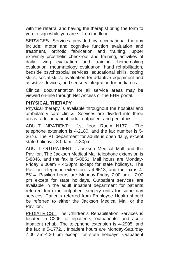with the referral and having the therapist bring the form to you to sign while you are still on the floor.

SERVICES: Services provided by occupational therapy include: motor and cognitive function evaluation and treatment, orthotic fabrication and training, upper extremity prosthetic check-out and training, activities of daily living evaluation and training, homemaking evaluation, rheumatology evaluation, hand rehabilitation, bedside psychosocial services, educational skills, coping skills, social skills, evaluation for adaptive equipment and assistive devices, and sensory integration for pediatrics.

Clinical documentation for all service areas may be viewed on-line through Net Access or the EHR portal.

#### **PHYSICAL THERAPY**

Physical therapy is available throughout the hospital and ambulatory care clinics. Services are divided into three areas- adult inpatient, adult outpatient and pediatrics.

ADULT INPATIENT: 1st floor, Room N137. The telephone extension is 4-2180, and the fax number is 5- 3676. The PT department for adults is open daily, except state holidays, 8:00am - 4:30pm.

ADULT OUTPATIENT: Jackson Medical Mall and the Pavilion. The Jackson Medical Mall telephone extension is 5-8846, and the fax is 5-8851. Mall hours are Monday-Friday 8:00am - 4:30pm except for state holidays. The Pavilion telephone extension is 4-6513, and the fax is 4- 6514. Pavilion hours are Monday-Friday 7:00 am - 7:00 pm except for state holidays. Outpatient services are available in the adult inpatient department for patients referred from the outpatient surgery units for same day services. Patients referred from Employee Health should be referred to either the Jackson Medical Mall or the Pavilion.

PEDIATRICS: The Children's Rehabilitation Services is located in C205 for inpatients, outpatients, and acute inpatient rehab. The telephone extension is 4-2905, and the fax is 5-1772. . Inpatient hours are Monday-Saturday 7:00 am-4:30 pm except for state holidays. Outpatient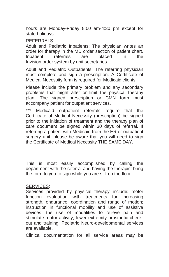hours are Monday-Friday 8:00 am-4:30 pm except for state holidays.

#### REFERRALS:

Adult and Pediatric Inpatients: The physician writes an order for therapy in the MD order section of patient chart. Inpatient referrals are placed in the Invision order system by unit secretaries.

Adult and Pediatric Outpatients: The referring physician must complete and sign a prescription. A Certificate of Medical Necessity form is required for Medicaid clients.

Please include the primary problem and any secondary problems that might alter or limit the physical therapy plan. The signed prescription or CMN form must accompany patient for outpatient services.

\*\*\* Medicaid outpatient referrals require that the Certificate of Medical Necessity (prescription) be signed prior to the initiation of treatment and the therapy plan of care document be signed within 30 days of referral. If referring a patient with Medicaid from the ER or outpatient surgery unit, please be aware that you will need to sign the Certificate of Medical Necessity THE SAME DAY.

This is most easily accomplished by calling the department with the referral and having the therapist bring the form to you to sign while you are still on the floor.

#### SERVICES:

Services provided by physical therapy include: motor function evaluation with treatments for increasing strength, endurance, coordination and range of motion; instruction in functional mobility and use of assistive devices; the use of modalities to relieve pain and stimulate motor activity, lower extremity prosthetic checkout and training. Pediatric Neuro-developmental services are available.

Clinical documentation for all service areas may be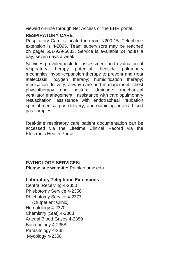viewed on-line through Net Access or the EHR portal.

# **RESPIRATORY CARE**

Respiratory Care is located in room N200-15. Telephone extension is 4-2095. Team supervisors may be reached on pager 601-929-5083. Service is available 24 hours a day, seven days a week.

Services provided include: assessment and evaluation of respiratory therapy potential, bedside pulmonary mechanics; hyper-expansion therapy to prevent and treat atelectasis; oxygen therapy; humidification therapy; medication delivery; airway care and management; chest physiotherapy and postural drainage; mechanical ventilator management; assistance with cardiopulmonary resuscitation; assistance with endotracheal intubation special medical gas delivery; and obtaining arterial blood gas samples.

Real-time respiratory care patient documentation can be accessed via the Lifetime Clinical Record via the Electronic Health Portal.

#### **PATHOLOGY SERVICES: Please see website:** Pathlab.umc.edu

#### **Laboratory Telephone Extensions**

Central Receiving 4-2350 Phlebotomy Service 4-2350 Phlebotomy Service 4-2377 (Outpatient Clinic) Hematology 4-2370 Chemistry (Stat) 4-2368 Arterial Blood Gases 4-2380 Bacteriology 4-2358 Parasitology 4-235 Mycology 4-2358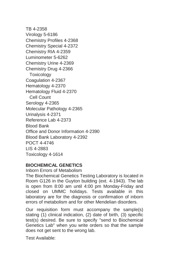TB 4-2358 Virology 5-6186 Chemistry Profiles 4-2368 Chemistry Special 4-2372 Chemistry RIA 4-2359 Luminometer 5-6262 Chemistry Urine 4-2369 Chemistry Drug 4-2366 **Toxicology** Coagulation 4-2367 Hematology 4-2370 Hematology Fluid 4-2370 Cell Count Serology 4-2365 Molecular Pathology 4-2365 Urinalysis 4-2371 Reference Lab 4-2373 Blood Bank Office and Donor Information 4-2390 Blood Bank Laboratory 4-2392 POCT 4-4746 LIS 4-2883 Toxicology 4-1614

#### **BIOCHEMICAL GENETICS**

Inborn Errors of Metabolism

The Biochemical Genetics Testing Laboratory is located in Room G126 in the Guyton building (ext. 4-1943). The lab is open from 8:00 am until 4:00 pm Monday-Friday and closed on UMMC holidays. Tests available in this laboratory are for the diagnosis or confirmation of inborn errors of metabolism and for other Mendelian disorders.

Our requisition form must accompany the sample(s) stating (1) clinical indication, (2) date of birth, (3) specific test(s) desired. Be sure to specify "send to Biochemical Genetics Lab" when you write orders so that the sample does not get sent to the wrong lab.

Test Available: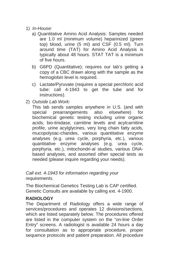- 1) *In-House:* 
	- a) Quantitative Amino Acid Analysis: Samples needed are 1.0 ml (minimum volume) heparinized (green top) blood, urine (5 ml) and CSF (0.5 ml). Turn around time (TAT) for Amino Acid Analysis is typically about 48 hours. STAT TAT is a minimum of five hours.
	- b) G6PD (Quantitative); requires our lab's getting a copy of a CBC drawn along with the sample as the hemoglobin level is required.
	- c) Lactate/Pyruvate (requires a special perchloric acid tube: call 4-1943 to get the tube and for instructions).
- 2) *Outside Lab Work:*

This lab sends samples anywhere in U.S. (and with special prearrangements also elsewhere) for biochemical genetic testing including urine organic acids, bio-tinidase, carnitine levels and acylcarnitine profile, urine acylglycines, very long chain fatty acids, mucopolysac-charides, various quantitative enzyme analyses (e.g. urea cycle, porphyria, etc.), various quantitative enzyme analyses (e.g. urea cycle, porphyria, etc.), mitochondri-al studies, various DNAbased analyses, and assorted other special tests as needed (please inquire regarding your needs).

*Call ext. 4-1943 for information regarding your requirements.* 

The Biochemical Genetics Testing Lab is CAP certified. Genetic Consults are available by calling ext. 4-1900.

# **RADIOLOGY**

The Department of Radiology offers a wide range of services/procedures and operates 12 divisions/sections, which are listed separately below. The procedures offered are listed in the computer system on the "on-line Order Entry" screens. A radiologist is available 24 hours a day for consultation as to appropriate procedure, proper sequence protocols and patient preparation. All procedure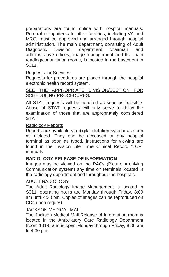preparations are found online with hospital manuals. Referral of inpatients to other facilities, including VA and MRC, must be approved and arranged through hospital administration. The main department, consisting of Adult Diagnostic Division, department chairman and administrative offices, image management and the main reading/consultation rooms, is located in the basement in S011.

#### Requests for Services

Requests for procedures are placed through the hospital electronic health record system.

#### SEE THE APPROPRIATE DIVISION/SECTION FOR SCHEDULING PROCEDURES.

All STAT requests will be honored as soon as possible. Abuse of STAT requests will only serve to delay the examination of those that are appropriately considered STAT.

#### Radiology Reports

Reports are available via digital dictation system as soon as dictated. They can be accessed at any hospital terminal as soon as typed. Instructions for viewing are found in the Invision Life Time Clinical Record "LCR" manuals.

#### **RADIOLOGY RELEASE OF INFORMATION**

Images may be viewed on the PACs (Picture Archiving Communication system) any time on terminals located in the radiology department and throughout the hospitals.

#### ADULT RADIOLOGY

The Adult Radiology Image Management is located in S011, operating hours are Monday through Friday, 8:00 am until 4:30 pm. Copies of images can be reproduced on CDs upon request.

#### JACKSON MEDICAL MALL

The Jackson Medical Mall Release of Information room is located in the Ambulatory Care Radiology Department (room 1319) and is open Monday through Friday, 8:00 am to 4:30 pm.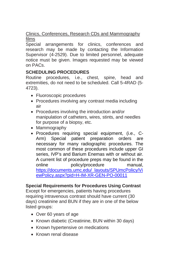# Clinics, Conferences, Research CDs and Mammography films

Special arrangements for clinics, conferences and research may be made by contacting the Information Supervisor (4-2529). Due to limited personnel, adequate notice must be given. Images requested may be viewed on PACs.

# **SCHEDULING PROCEDURES**

Routine procedures, i.e., chest, spine, head and extremities, do not need to be scheduled. Call 5-4RAD (5- 4723).

- Fluoroscopic procedures
- Procedures involving any contrast media including air
- Procedures involving the introduction and/or manipulation of catheters, wires, stints, and needles for purpose of a biopsy, etc.
- Mammography
- Procedures requiring special equipment, (i.e., C-Arm) Special patient preparation orders are necessary for many radiographic procedures. The most common of these procedures include upper GI series, IVP's and Barium Enemas with or without air. A current list of procedure preps may be found in the online policy/procedure manual, [https://documents.umc.edu/\\_layouts/SPUmcPolicy/Vi](https://documents.umc.edu/_layouts/SPUmcPolicy/ViewPolicy.aspx?pid=H-IM-XR-GEN-PO-00011) [ewPolicy.aspx?pid=H-IM-XR-GEN-PO-00011](https://documents.umc.edu/_layouts/SPUmcPolicy/ViewPolicy.aspx?pid=H-IM-XR-GEN-PO-00011)

#### **Special Requirements for Procedures Using Contrast**

Except for emergencies, patients having procedures requiring intravenous contrast should have current (30 days) creatinine and BUN if they are in one of the below listed groups:

- Over 60 years of age
- Known diabetic (Creatinine, BUN within 30 days)
- Known hypertensive on medications
- Known renal disease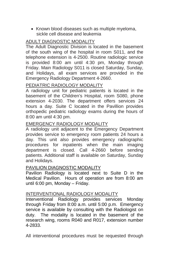• Known blood diseases such as multiple myeloma, sickle cell disease and leukemia

# ADULT DIAGNOSTIC MODALITY

The Adult Diagnostic Division is located in the basement of the south wing of the hospital in room S011, and the telephone extension is 4-2500. Routine radiologic service is provided 8:00 am until 4:30 pm, Monday through Friday. Main Radiology S011 is closed Saturday, Sunday, and Holidays, all exam services are provided in the Emergency Radiology Department 4-2660.

#### PEDIATRIC RADIOLOGY MODALITY

A radiology unit for pediatric patients is located in the basement of the Children's Hospital, room S080, phone extension 4-2030. The department offers services 24 hours a day. Suite C located in the Pavillion provides orthopedic pediatric radiology exams during the hours of 8:00 am until 4:30 pm.

#### EMERGENCY RADIOLOGY MODALITY

A radiology unit adjacent to the Emergency Department provides service to emergency room patients 24 hours a day. This unit also provides emergency radiographic procedures for inpatients when the main imaging department is closed. Call 4-2660 before sending patients. Additional staff is available on Saturday, Sunday and Holidays.

#### PAVILION DIAGNOSTIC MODALITY

Pavilion Radiology is located next to Suite D in the Medical Pavilion. Hours of operation are from 8:00 am until 6:00 pm, Monday – Friday.

#### INTERVENTIONAL RADIOLOGY MODALITY

Interventional Radiology provides services Monday through Friday from 8:00 a.m. until 5:00 p.m. Emergency service is available by consulting with the Radiologist on duty. The modality is located in the basement of the research wing, rooms R040 and R017, extension number 4-2833.

All interventional procedures must be requested through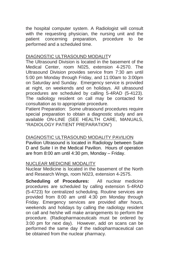the hospital computer system. A Radiologist will consult with the requesting physician, the nursing unit and the patient concerning preparation, procedure to be performed and a scheduled time.

#### DIAGNOSTIC ULTRASOUND MODALITY

The Ultrasound Division is located in the basement of the Medical Center, room N025, extension 4-2570. The Ultrasound Division provides service from 7:30 am until 5:00 pm Monday through Friday, and 11:00am to 3:00pm on Saturday and Sunday. Emergency service is provided at night, on weekends and on holidays. All ultrasound procedures are scheduled by calling 5-4RAD (5-4123). The radiology resident on call may be contacted for consultation as to appropriate procedure.

Patient Preparation: Some ultrasound procedures require special preparation to obtain a diagnostic study and are available ON-LINE (SEE HEALTH CARE, MANUALS, "RADIOLOGY PATIENT PREPARATION")

## DIAGNOSTIC ULTRASOUND MODALITY PAVILION

Pavilion Ultrasound is located in Radiology between Suite D and Suite I in the Medical Pavilion. Hours of operation are from 8:00 am until 4:30 pm, Monday – Friday.

#### NUCLEAR MEDICINE MODALITY

Nuclear Medicine is located in the basement of the North and Research Wings, room N023, extension 4-2575.

**Scheduling of Procedures:** All nuclear medicine procedures are scheduled by calling extension 5-4RAD (5-4723) for centralized scheduling. Routine services are provided from 8:00 am until 4:30 pm Monday through Friday. Emergency services are provided after hours, weekends and holidays by calling the radiology resident on call and he/she will make arrangements to perform the procedure. (Radiopharmaceuticals must be ordered by 3:00 pm for next day). However, add on scans can be performed the same day if the radiopharmaceutical can be obtained from the nuclear pharmacy.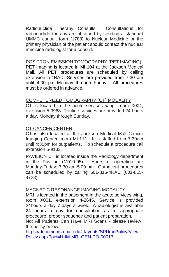Radionuclide Therapy Consults: Consultations for radionuclide therapy are obtained by sending a standard UMMC consult form (1788) to Nuclear Medicine or the primary physician of the patient should contact the nuclear medicine radiologist for a consult.

#### POSITRON EMISSION TOMOGRAPHY (PET IMAGING)

PET Imaging is located in MI 104 at the Jackson Medical Mall. All PET procedures are scheduled by calling extension 5-4RAD. Services are provided from 7:30 am until 4:00 pm Monday through Friday. All procedures must be ordered in advance.

#### COMPUTERIZED TOMOGRAPHY (CT) MODALITY

CT is located in the acute services wing, room X004, extension 5-3968. Routine services are provided 24 hours a day, Monday through Sunday.

#### CT CANCER CENTER

CT is also located at the Jackson Medical Mall Cancer Imaging Center, room MI-111. It is staffed from 7:30am until 4:30pm for outpatients. To schedule a procedure call extension 5-9133.

PAVILION CT is located inside the Radiology department in the Pavilion (M010-05). Hours of operation are Monday-Friday; 7:30 am-5:00 pm. Outpatient procedures can be scheduled by calling 601-815-4RAD (601-815- 4723).

#### MAGNETIC RESONANCE IMAGING MODALITY

MRI is located in the basement in the acute services wing, room X001, extension 4-2645. Service is provided 24hours a day 7 days a week. A radiologist is available 24 hours a day for consultation as to appropriate procedure, proper sequence and patient preparation.

Not All Patients Can Have MRI Scans - please review the policy below.

[https://documents.umc.edu/\\_layouts/SPUmcPolicy/View](https://documents.umc.edu/_layouts/SPUmcPolicy/ViewPolicy.aspx?pid=H-IM-MRI-GEN-PO-00013) [Policy.aspx?pid=H-IM-MRI-GEN-PO-00013](https://documents.umc.edu/_layouts/SPUmcPolicy/ViewPolicy.aspx?pid=H-IM-MRI-GEN-PO-00013)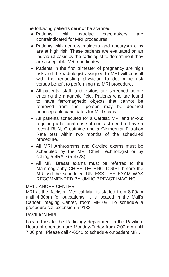The following patients **canno**t be scanned:

- Patients with cardiac pacemakers are contraindicated for MRI procedures.
- Patients with neuro-stimulators and aneurysm clips are at high risk. These patients are evaluated on an individual basis by the radiologist to determine if they are acceptable MRI candidates.
- Patients in the first trimester of pregnancy are high risk and the radiologist assigned to MRI will consult with the requesting physician to determine risk versus benefit to performing the MRI procedure.
- All patients, staff, and visitors are screened before entering the magnetic field. Patients who are found to have ferromagnetic objects that cannot be removed from their person may be deemed unacceptable candidates for MRI scans.
- All patients scheduled for a Cardiac MRI and MRAs requiring additional dose of contrast need to have a recent BUN, Creatinine and a Glomerular Filtration Rate test within two months of the scheduled procedure.
- All MRI Arthrograms and Cardiac exams must be scheduled by the MRI Chief Technologist or by calling 5-4RAD (5-4723)
- All MRI Breast exams must be referred to the Mammography CHIEF TECHNOLOGIST before the MRI will be scheduled UNLESS THE EXAM WAS RECOMMENDED BY UMHC BREAST IMAGING.

#### MRI CANCER CENTER

MRI at the Jackson Medical Mall is staffed from 8:00am until 4:30pm for outpatients. It is located in the Mall's Cancer Imaging Center, room MI-108. To schedule a procedure call extension 5-9133.

#### PAVILION MRI

Located inside the Radiology department in the Pavilion. Hours of operation are Monday-Friday from 7:00 am until 7:00 pm. Please call 4-6542 to schedule outpatient MRI.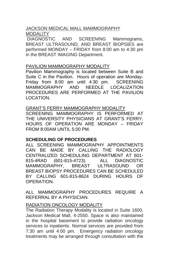#### JACKSON MEDICAL MALL MAMMOGRAPHY MODALITY

DIAGNOSTIC AND SCREENING Mammograms, BREAST ULTRASOUND, AND BREAST BIOPSIES are performed MONDAY – FRIDAY from 8:00 am to 4:30 pm in the BREAST IMAGING Department.

#### PAVILION MAMMOGRAPHY MODALITY

Pavilion Mammography is located between Suite B and Suite C in the Pavilion. Hours of operation are Monday-Friday from 8:00 am until 4:30 pm. SCREENING<br>MAMMOGRAPHY AND NEEDLE LOCALIZATION NEEDLE LOCALIZATION PROCEDURES ARE PERFORMED AT THE PAVILION LOCATION.

#### GRANT'S FERRY MAMMOGRAPHY MODALITY

SCREENING MAMMOGRAPHY IS PERFORMED AT THE UNIVERSITY PHYSICIANS AT GRANT'S FERRY. HOURS OF OPERATION ARE MONDAY – FRIDAY FROM 8:00AM UNTIL 5:00 PM.

#### **SCHEDULING OF PROCEDURES**

ALL SCREENING MAMMOGRAPHY APPOINTMENTS CAN BE MADE BY CALLING THE RADIOLOGY CENTRALIZED SCHEDULING DEPARTMENT AT 601- 815-4RAD (601-815-4723). ALL DIAGNOSTIC MAMMOGRAPHY, BREAST ULTRASOUND BREAST BIOPSY PROCEDURES CAN BE SCHEDULED BY CALLING 601-815-8624 DURING HOURS OF OPERATION.

ALL MAMMOGRAPHY PROCEDURES REQUIRE A REFERRAL BY A PHYSICIAN.

# RADIATION ONCOLOGY MODALITY

The Radiation Therapy Modality is located in Suite 1600, Jackson Medical Mall, 4-2550. Space is also maintained in the hospital basement to provide radiation oncology services to inpatients. Normal services are provided from 7:30 am until 4:00 pm. Emergency radiation oncology treatments may be arranged through consultation with the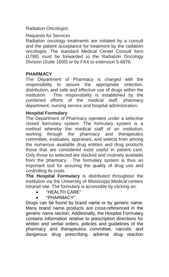Radiation Oncologist.

Requests for Services

Radiation oncology treatments are initiated by a consult and the patient acceptance for treatment by the radiation oncologist. The standard Medical Center Consult form (1788) must be forwarded to the Radiation Oncology Division (Suite 1600) or by FAX to extension 5-6876.

# **PHARMACY**

The Department of Pharmacy is charged with the responsibility to assure the appropriate selection, distribution, and safe and effective use of drugs within the institution. This responsibility is established by the combined efforts of the medical staff, pharmacy department, nursing service and hospital administration.

## **Hospital Formulary**

The Department of Pharmacy operates under a selective closed formulary system. The formulary system is a method whereby the medical staff of an institution, working through the pharmacy and therapeutics committee, evaluates, appraises, and selects from among the numerous available drug entities and drug products those that are considered most useful in patient care. Only those so selected are stocked and routinely available from the pharmacy. The formulary system is thus an important tool for assuring the quality of drug use and controlling its costs.

**The Hospital Formulary** is distributed throughout the institution via the University of Mississippi Medical centers intranet site. The formulary is accessible by clicking on:

- "HEALTH CARE"
- "PHARMACY"

Drugs can be found by brand name or by generic name. Many brand name products are cross-referenced in the generic name section. Additionally, the Hospital Formulary contains information relative to prescription directions for written and verbal orders, policies and guidelines of the pharmacy and therapeutics committee, narcotic and dangerous drug prescribing, adverse drug reaction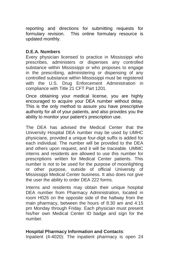reporting and directions for submitting requests for formulary revision. This online formulary resource is updated monthly.

## **D.E.A. Numbers**

Every physician licensed to practice in Mississippi who prescribes, administers or dispenses any controlled substance within Mississippi or who proposes to engage in the prescribing, administering or dispensing of any controlled substance within Mississippi must be registered with the U.S. Drug Enforcement Administration in compliance with Title 21 CFT Part 1201.

Once obtaining your medical license, you are highly encouraged to acquire your DEA number without delay. This is the only method to assure you have prescriptive authority for all of your patients, and also provides you the ability to monitor your patient's prescription use.

The DEA has advised the Medical Center that the University Hospital DEA number may be used by UMHC physicians, provided a unique four-digit suffix is added for each individual. The number will be provided to the DEA and others upon request, and it will be traceable. UMMC interns and residents are allowed to use this number for prescriptions written for Medical Center patients. This number is not to be used for the purpose of moonlighting or other purpose, outside of official University of Mississippi Medical Center business. It also does not give the user the ability to order DEA 222 forms.

Interns and residents may obtain their unique hospital DEA number from Pharmacy Administration, located in room H026 on the opposite side of the hallway from the main pharmacy, between the hours of 8:30 am and 4:15 pm Monday through Friday. Each physician must present his/her own Medical Center ID badge and sign for the number.

### **Hospital Pharmacy Information and Contacts**:

Inpatient (4-4020): The inpatient pharmacy is open 24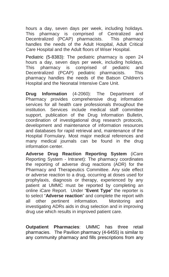hours a day, seven days per week, including holidays. This pharmacy is comprised of Centralized and Decentralized (PCAP) pharmacists. This pharmacy handles the needs of the Adult Hospital, Adult Critical Care Hospital and the Adult floors of Wiser Hospital.

Pediatric (5-8383): The pediatric pharmacy is open 24 hours a day, seven days per week, including holidays. This pharmacy is comprised of pediatric and Decentralized (PCAP) pediatric pharmacists. This pharmacy handles the needs of the Batson Children's Hospital and the Neonatal Intensive Care Unit.

**Drug Information** (4-2060): The Department of Pharmacy provides comprehensive drug information services for all health care professionals throughout the institution. Services include medical staff committee support, publication of the Drug Information Bulletin, coordination of investigational drug research protocols, development and maintenance of information resources and databases for rapid retrieval and, maintenance of the Hospital Formulary. Most major medical references and many medical journals can be found in the drug information center.

**Adverse Drug Reaction Reporting System** (iCare Reporting System - Intranet): The pharmacy coordinates the reporting of adverse drug reactions (ADR) for the Pharmacy and Therapeutics Committee. Any side effect or adverse reaction to a drug, occurring at doses used for prophylaxis, diagnosis or therapy, experienced by any patient at UMMC must be reported by completing an online iCare Report. Under "**Event Type**" the reporter is to select "**Adverse reaction**" and complete the report with all other pertinent information. Monitoring and investigating ADRs aids in drug selection and in improving drug use which results in improved patient care.

**Outpatient Pharmacies**: UMMC has three retail pharmacies. The Pavilion pharmacy (4-6455) is similar to any community pharmacy and fills prescriptions from any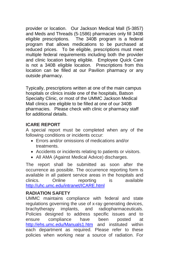provider or location. Our Jackson Medical Mall (5-3857) and Meds and Threads (5-1586) pharmacies only fill 340B eligible prescriptions. The 340B program is a federal program that allows medications to be purchased at reduced prices. To be eligible, prescriptions must meet multiple federal requirements including both the provider and clinic location being eligible. Employee Quick Care is not a 340B eligible location. Prescriptions from this location can be filled at our Pavilion pharmacy or any outside pharmacy.

Typically, prescriptions written at one of the main campus hospitals or clinics inside one of the hospitals, Batson Specialty Clinic, or most of the UMMC Jackson Medical Mall clinics are eligible to be filled at one of our 340B pharmacies. Please check with clinic or pharmacy staff for additional details.

# **ICARE REPORT**

A special report must be completed when any of the following conditions or incidents occur:

- Errors and/or omissions of medications and/or treatments.
- Accidents or incidents relating to patients or visitors.
- All AMA (Against Medical Advice) discharges.

The report shall be submitted as soon after the occurrence as possible. The occurrence reporting form is available in all patient service areas in the hospitals and clinics. Online reporting is available <http://uhc.umc.edu/intranet/ICARE.html>

# **RADIATION SAFETY**

UMMC maintains compliance with federal and state regulations governing the use of x-ray generating devices,<br>brachytherapy implants, and radiopharmaceuticals. implants, and radiopharmaceuticals. Policies designed to address specific issues and to ensure compliance have been posted at <http://ehs.umc.edu/Manuals1.htm> and instituted within each department as required. Please refer to these policies when working near a source of radiation. For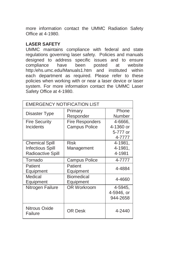more information contact the UMMC Radiation Safety Office at 4-1980.

## **LASER SAFETY**

UMMC maintains compliance with federal and state regulations governing laser safety. Policies and manuals designed to address specific issues and to ensure<br>compliance have been posted at website compliance have been posted at http:/ehs.umc.edu/Manuals1.htm and instituted within each department as required. Please refer to these policies when working with or near a laser device or laser system. For more information contact the UMMC Laser Safety Office at 4-1980.

| EMERGENCY NOTIFICATION LIST |                        |            |  |
|-----------------------------|------------------------|------------|--|
| Disaster Type               | Primary                | Phone      |  |
|                             | Responder              | Number     |  |
| <b>Fire Security</b>        | <b>Fire Responders</b> | 4-6666,    |  |
| Incidents                   | <b>Campus Police</b>   | 4-1360 or  |  |
|                             |                        | 5-777 or   |  |
|                             |                        | 4-7777     |  |
| <b>Chemical Spill</b>       | <b>Risk</b>            | 4-1981,    |  |
| <b>Infectious Spill</b>     | Management             | 4-1981.    |  |
| Radioactive Spill           |                        | 4-1981     |  |
| Tornado                     | <b>Campus Police</b>   | 4-7777     |  |
| Patient                     | Patient                | 4-4884     |  |
| Equipment                   | Equipment              |            |  |
| Medical                     | Biomedical             | 4-4660     |  |
| Equipment                   | Equipment              |            |  |
| Nitrogen Failure            | OR Workroom            | 4-5945.    |  |
|                             |                        | 4-5946, or |  |
|                             |                        | 944-2658   |  |
| Nitrous Oxide<br>Failure    | OR Desk                | 4-2440     |  |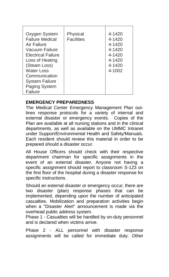| Oxygen System<br><b>Failure Medical</b><br>Air Failure<br>Vacuum Failure<br><b>Electrical Failure</b><br>Loss of Heating<br>(Steam Loss) | Physical<br>Facilities | 4-1420<br>4-1420<br>4-1420<br>4-1420<br>4-1420<br>4-1420<br>4-1420 |
|------------------------------------------------------------------------------------------------------------------------------------------|------------------------|--------------------------------------------------------------------|
| Water Loss                                                                                                                               |                        | 4-1002                                                             |
| Communication                                                                                                                            |                        |                                                                    |
| <b>System Failure</b>                                                                                                                    |                        |                                                                    |
| Paging System                                                                                                                            |                        |                                                                    |
| Failure                                                                                                                                  |                        |                                                                    |

# **EMERGENCY PREPAREDNESS**

The Medical Center Emergency Management Plan outlines response protocols for a variety of internal and external disaster or emergency events. Copies of the Plan are available at all nursing stations and in the clinical departments, as well as available on the UMMC Intranet under Support/Environmental Health and Safety/Manuals. Each resident should review this material in order to be prepared should a disaster occur.

All House Officers should check with their respective department chairman for specific assignments in the event of an external disaster. Anyone not having a specific assignment should report to classroom S-123 on the first floor of the hospital during a disaster response for specific instructions.

Should an external disaster or emergency occur, there are two disaster (plan) response phases that can be implemented, depending upon the number of anticipated casualties. Mobilization and preparation activities begin when a "Disaster Alert" announcement is made via the overhead public address system.

Phase 1 - Casualties will be handled by on-duty personnel and is declared when victims arrive.

Phase 2 - ALL personnel with disaster response assignments will be called for immediate duty. Other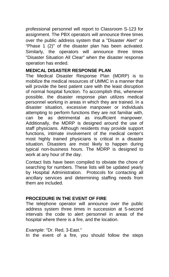professional personnel will report to Classroom S-123 for assignment. The PBX operators will announce three times over the public address system that a "Disaster Alert" or "Phase 1 (2)" of the disaster plan has been activated. Similarly, the operators will announce three times "Disaster Situation All Clear" when the disaster response operation has ended.

#### **MEDICAL DISASTER RESPONSE PLAN**

The Medical Disaster Response Plan (MDRP) is to mobilize the medical resources of UMMC in a manner that will provide the best patient care with the least disruption of normal hospital function. To accomplish this, whenever possible, the disaster response plan utilizes medical personnel working in areas in which they are trained. In a disaster situation, excessive manpower or individuals attempting to perform functions they are not familiar with, can be as detrimental as insufficient manpower. Additionally, the MDRP is designed around the use of staff physicians. Although residents may provide support functions, intimate involvement of the medical center's most highly trained physicians is critical in a disaster situation. Disasters are most likely to happen during typical non-business hours. The MDRP is designed to work at any hour of the day.

Contact lists have been compiled to obviate the chore of searching for numbers. These lists will be updated yearly by Hospital Administration. Protocols for contacting all ancillary services and determining staffing needs from them are included.

#### **PROCEDURE IN THE EVENT OF FIRE**

The telephone operator will announce over the public address system three times in succession at 5-second intervals the code to alert personnel in areas of the hospital where there is a fire, and the location.

*Example*: "Dr. Red, 3-East." In the event of a fire, you should follow the steps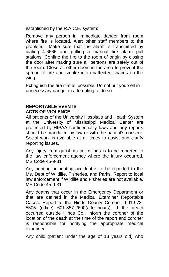established by the R.A.C.E. system:

Remove any person in immediate danger from room where fire is located. Alert other staff members to the problem. Make sure that the alarm is transmitted by dialing 4-6666 and pulling a manual fire alarm pull stations. Confine the fire to the room of origin by closing the door after making sure all persons are safely out of the room. Close all other doors in the area to prevent the spread of fire and smoke into unaffected spaces on the wing.

Extinguish the fire if at all possible. Do not put yourself in unnecessary danger in attempting to do so.

### **REPORTABLE EVENTS ACTS OF VIOLENCE**

All patients of the University Hospitals and Health System at the University of Mississippi Medical Center are protected by HIPAA confidentiality laws and any reports should be mandated by law or with the patient's consent. Social work is available at all times to assist and clarify reporting issues.

Any injury from gunshots or knifings is to be reported to the law enforcement agency where the injury occurred. MS Code 45-9-31

Any hunting or boating accident is to be reported to the Ms. Dept of Wildlife, Fisheries, and Parks. Report to local law enforcement if Wildlife and Fisheries are not available. MS Code 45-9-31

Any deaths that occur in the Emergency Department or that are defined in the Medical Examiner Reportable Cases. Report to the Hinds County Coroner, 601-973- 5505 (office) 601-857-2600(after-hours). If the death occurred outside Hinds Co., inform the coroner of the location of the death at the time of the report and coroner is responsible for notifying the appropriate medical examiner.

Any child (patient under the age of 18 years old) who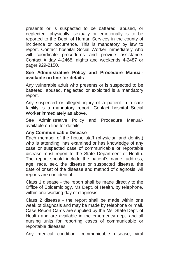presents or is suspected to be battered, abused, or neglected, physically, sexually or emotionally is to be reported to the Dept. of Human Services in the county of incidence or occurrence. This is mandatory by law to report. Contact hospital Social Worker immediately who will coordinate procedures and provide assistance. Contact # day 4-2468, nights and weekends 4-2487 or pager 929-2150.

#### **See Administrative Policy and Procedure Manualavailable on line for details**.

Any vulnerable adult who presents or is suspected to be battered, abused, neglected or exploited is a mandatory report.

Any suspected or alleged injury of a patient in a care facility is a mandatory report. Contact hospital Social Worker immediately as above.

See Administrative Policy and Procedure Manualavailable on line for details.

#### **Any Communicable Disease**

Each member of the house staff (physician and dentist) who is attending, has examined or has knowledge of any case or suspected case of communicable or reportable disease must report to the State Department of Health. The report should include the patient's name, address, age, race, sex, the disease or suspected disease, the date of onset of the disease and method of diagnosis. All reports are confidential.

Class 1 disease - the report shall be made directly to the Office of Epidemiology, Ms Dept. of Health, by telephone, within one working day of diagnosis.

Class 2 disease - the report shall be made within one week of diagnosis and may be made by telephone or mail. Case Report Cards are supplied by the Ms. State Dept. of Health and are available in the emergency dept. and all nursing units for reporting cases of communicable or reportable diseases.

Any medical condition, communicable disease, viral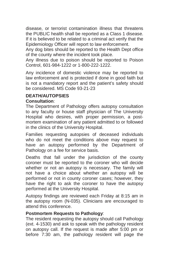disease, or terrorist contamination illness that threatens the PUBLIC health shall be reported as a Class 1 disease. If it is believed to be related to a criminal act verify that the Epidemiology Officer will report to law enforcement.

Any dog bites should be reported to the Health Dept office of the county where the incident took place.

Any illness due to poison should be reported to Poison Control, 601-984-1222 or 1-800-222-1222.

Any incidence of domestic violence may be reported to law enforcement and is protected if done in good faith but is not a mandatory report and the patient's safety should be considered. MS Code 93-21-23

## **DEATH/AUTOPSIES Consultation**:

The Department of Pathology offers autopsy consultation to any faculty or house staff physician of The University Hospital who desires, with proper permission, a postmortem examination of any patient admitted to or followed in the clinics of the University Hospital.

Families requesting autopsies of deceased individuals who do not meet the conditions above may request to have an autopsy performed by the Department of Pathology on a fee for service basis.

Deaths that fall under the jurisdiction of the county coroner must be reported to the coroner who will decide whether or not an autopsy is necessary. The family will not have a choice about whether an autopsy will be performed or not in county coroner cases; however, they have the right to ask the coroner to have the autopsy performed at the University Hospital.

Autopsy findings are reviewed each Friday at 8:15 am in the autopsy room (N-035). Clinicians are encouraged to attend this conference.

### **Postmortem Requests to Pathology**:

The resident requesting the autopsy should call Pathology (ext. 4-1530) and ask to speak with the pathology resident on autopsy call. If the request is made after 5:00 pm or before 7:30 am, the pathology resident will page the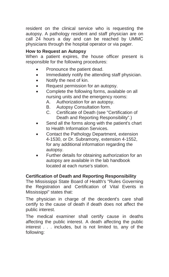resident on the clinical service who is requesting the autopsy. A pathology resident and staff physician are on call 24 hours a day and can be reached by UMMC physicians through the hospital operator or via pager.

#### **How to Request an Autopsy**

When a patient expires, the house officer present is responsible for the following procedures:

- Pronounce the patient dead.
- Immediately notify the attending staff physician.
- Notify the next of kin.
- Request permission for an autopsy.
- Complete the following forms, available on all nursing units and the emergency rooms:
	- A. Authorization for an autopsy.
	- B. Autopsy Consultation form.
	- C. Certificate of Death (see "Certification of Death and Reporting Responsibility".)
- Send all the forms along with the patient's chart to Health Information Services.
- Contact the Pathology Department, extension 4-1530, or Dr. Subramony, extension 4-1552, for any additional information regarding the autopsy.
- Further details for obtaining authorization for an autopsy are available in the lab handbook located at each nurse's station.

#### **Certification of Death and Reporting Responsibility**

The Mississippi State Board of Health's "Rules Governing the Registration and Certification of Vital Events in Mississippi" states that:

The physician in charge of the decedent's care shall certify to the cause of death if death does not affect the public interest.

The medical examiner shall certify cause in deaths affecting the public interest. A death affecting the public interest . . . includes, but is not limited to, any of the following: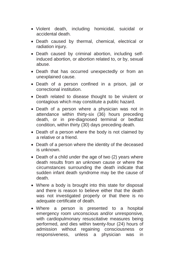- Violent death, including homicidal, suicidal or accidental death.
- Death caused by thermal, chemical, electrical or radiation injury.
- Death caused by criminal abortion, including selfinduced abortion, or abortion related to, or by, sexual abuse.
- Death that has occurred unexpectedly or from an unexplained cause.
- Death of a person confined in a prison, jail or correctional institution.
- Death related to disease thought to be virulent or contagious which may constitute a public hazard.
- Death of a person where a physician was not in attendance within thirty-six (36) hours preceding death, or in pre-diagnosed terminal or bedfast condition, within thirty (30) days preceding death.
- Death of a person where the body is not claimed by a relative or a friend.
- Death of a person where the identity of the deceased is unknown.
- Death of a child under the age of two (2) years where death results from an unknown cause or where the circumstances surrounding the death indicate that sudden infant death syndrome may be the cause of death.
- Where a body is brought into this state for disposal and there is reason to believe either that the death was not investigated properly or that there is no adequate certificate of death.
- Where a person is presented to a hospital emergency room unconscious and/or unresponsive, with cardiopulmonary resuscitative measures being performed, and dies within twenty-four (24) hours of admission without regaining consciousness or responsiveness, unless a physician was in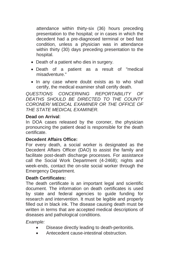attendance within thirty-six (36) hours preceding presentation to the hospital; or in cases in which the decedent had a pre-diagnosed terminal or bed fast condition, unless a physician was in attendance within thirty (30) days preceding presentation to the hospital.

- Death of a patient who dies in surgery.
- Death of a patient as a result of "medical misadventure."
- In any case where doubt exists as to who shall certify, the medical examiner shall certify death.

*QUESTIONS CONCERNING REPORTABILITY OF DEATHS SHOULD BE DIRECTED TO THE COUNTY CORONER/ MEDICAL EXAMINER OR THE OFFICE OF THE STATE MEDICAL EXAMINER.* 

### **Dead on Arrival**:

In DOA cases released by the coroner, the physician pronouncing the patient dead is responsible for the death certificate.

### **Decedent Affairs Office:**

For every death, a social worker is designated as the Decedent Affairs Officer (DAO) to assist the family and facilitate post-death discharge processes. For assistance call the Social Work Department (4-2468); nights and week-ends, contact the on-site social worker through the Emergency Department.

#### **Death Certificates:**

The death certificate is an important legal and scientific document. The information on death certificates is used by state and federal agencies to guide funding for research and intervention. It must be legible and properly filled out in black ink. The disease causing death must be written in terms that are accepted medical descriptions of diseases and pathological conditions.

*Example:* 

- Disease directly leading to death-peritonitis.
- Antecedent cause-intestinal obstruction.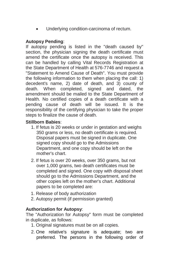Underlying condition-carcinoma of rectum.

# **Autopsy Pending**:

If autopsy pending is listed in the "death caused by" section, the physician signing the death certificate must amend the certificate once the autopsy is received. This can be handled by calling Vital Records Registration at the State Department of Health at 576-7746 and request a "Statement to Amend Cause of Death". You must provide the following information to them when placing the call: 1) decedent's name, 2) date of death, and 3) county of death. When completed, signed and dated, the amendment should be mailed to the State Department of Health. No certified copies of a death certificate with a pending cause of death will be issued. It is the responsibility of the certifying physician to take the proper steps to finalize the cause of death.

## **Stillborn Babies**:

- 1. If fetus is 20 weeks or under in gestation and weighs 350 grams or less, no death certificate is required. Disposal papers must be signed in duplicate. One signed copy should go to the Admissions Department, and one copy should be left on the mother's chart.
- 2. If fetus is over 20 weeks, over 350 grams, but not over 1,000 grams, two death certificates must be completed and signed. One copy with disposal sheet should go to the Admissions Department, and the other copies left on the mother's chart. Additional papers to be completed are:
- 1. Release of body authorization
- 2. Autopsy permit (if permission granted)

# **Authorization for Autopsy**:

The "Authorization for Autopsy" form must be completed in duplicate, as follows:

- 1. Original signatures must be on all copies.
- 2. One relative's signature is adequate; two are preferred. The persons in the following order of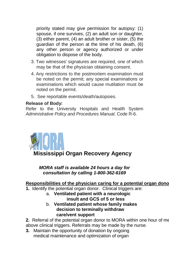priority stated may give permission for autopsy: (1) spouse, if one survives, (2) an adult son or daughter, (3) either parent, (4) an adult brother or sister, (5) the guardian of the person at the time of his death, (6) any other person or agency authorized or under obligation to dispose of the body.

- 3. Two witnesses' signatures are required, one of which may be that of the physician obtaining consent.
- 4. Any restrictions to the postmortem examination must be noted on the permit; any special examinations or examinations which would cause mutilation must be noted on the permit.
- 5. See reportable events/death/autopsies.

#### **Release of Body:**

Refer to the University Hospitals and Health System *Administrative Policy and Procedures Manual,* Code R-6.



*MORA staff is available 24 hours a day for consultation by calling 1-800-362-6169*

# **Responsibilities of the physician caring for a potential organ dono**

**1.** Identify the potential organ donor. Clinical triggers are:

#### a. **Ventilated patient with a neurologic insult and GCS of 5 or less**  b. **Ventilated patient whose family makes**

**decision to terminally withdraw care/vent support**

**2.** Referral of the potential organ donor to MORA within one hour of me above clinical triggers. Referrals may be made by the nurse.

**3.** Maintain the opportunity of donation by ongoing medical maintenance and optimization of organ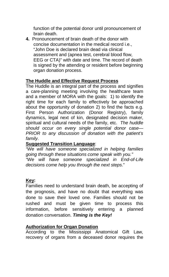function of the potential donor until pronouncement of brain death.

**4.** Pronouncement of brain death of the donor with concise documentation in the medical record i.e., "John Doe is declared brain dead via clinical assessment and (apnea test, cerebral blood flow, EEG or CTA)" with date and time. The record of death is signed by the attending or resident before beginning organ donation process.

## **The Huddle and Effective Request Process**

The Huddle is an integral part of the process and signifies a care-planning meeting involving the healthcare team and a member of MORA with the goals: 1) to identify the right time for each family to effectively be approached about the opportunity of donation 2) to find the facts e.g. First Person Authorization (Donor Registry), family dynamics, legal next of kin, designated decision maker, spiritual and cultural needs of the family, etc. *The huddle should occur on every single potential donor case— PRIOR to any discussion of donation with the patient's family.*

# **Suggested Transition Language**:

*"We will have someone specialized in helping families going through these situations come speak with you." "We will have someone specialized in End-of-Life decisions come help you through the next steps*."

# **Key:**

Families need to understand brain death, be accepting of the prognosis, and have no doubt that everything was done to save their loved one. Families should not be rushed and must be given time to process this information, before sensitively entering a planned donation conversation. *Timing is the Key!*

# **Authorization for Organ Donation**

According to the Mississippi Anatomical Gift Law, recovery of organs from a deceased donor requires the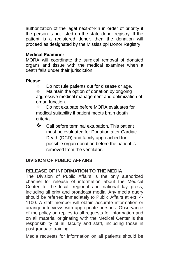authorization of the legal next-of-kin in order of priority if the person is not listed on the state donor registry. If the patient is a registered donor, then the donation will proceed as designated by the Mississippi Donor Registry.

## **Medical Examiner**

MORA will coordinate the surgical removal of donated organs and tissue with the medical examiner when a death falls under their jurisdiction.

### **Please**:

❖ Do not rule patients out for disease or age.<br>❖ Maintain the option of donation by ongoing

 Maintain the option of donation by ongoing aggressive medical management and optimization of organ function.<br>
So not ext

 Do not extubate before MORA evaluates for medical suitability if patient meets brain death criteria.

\* Call before terminal extubation. This patient must be evaluated for Donation after Cardiac Death (DCD) and family approached for possible organ donation before the patient is removed from the ventilator.

# **DIVISION OF PUBLIC AFFAIRS**

### **RELEASE OF INFORMATION TO THE MEDIA**

The Division of Public Affairs is the only authorized channel for release of information about the Medical Center to the local, regional and national lay press, including all print and broadcast media. Any media query should be referred immediately to Public Affairs at ext. 4- 1100. A staff member will obtain accurate information or arrange interviews with appropriate persons. Observance of the policy on replies to all requests for information and on all material originating with the Medical Center is the responsibility of all faculty and staff, including those in postgraduate training.

Media requests for information on all patients should be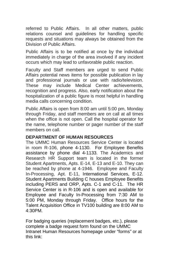referred to Public Affairs. In all other matters, public relations counsel and guidelines for handling specific requests and situations may always be obtained from the Division of Public Affairs.

Public Affairs is to be notified at once by the individual immediately in charge of the area involved if any incident occurs which may lead to unfavorable public reaction.

Faculty and Staff members are urged to send Public Affairs potential news items for possible publication in lay and professional journals or use with radio/television. These may include Medical Center achievements, recognition and progress. Also, early notification about the hospitalization of a public figure is most helpful in handling media calls concerning condition.

Public Affairs is open from 8:00 am until 5:00 pm, Monday through Friday, and staff members are on call at all times when the office is not open. Call the hospital operator for the name, telephone number or pager number of the staff members on call.

# **DEPARTMENT OF HUMAN RESOURCES**

The UMMC Human Resources Service Center is located in room R-106, phone 4-1130. For Employee Benefits assistance by phone dial 4-1133. The Academics and Research HR Support team is located in the former Student Apartments, Apts. E-14, E-13 and E-10. They can be reached by phone at 4-1946. Employee and Faculty In-Processing, Apt. E-11, International Services, E-12. Student Apartments Building C houses Employee Benefits including PERS and ORP, Apts. C-1 and C-11. The HR Service Center is in R-106 and is open and available for Employee and Faculty In-Processing from 7:30 AM to 5:00 PM, Monday through Friday. Office hours for the Talent Acquisition Office in TV100 building are 8:00 AM to 4:30PM.

For badging queries (replacement badges, etc.), please complete a badge request form found on the UMMC Intranet Human Resources homepage under "forms" or at this link: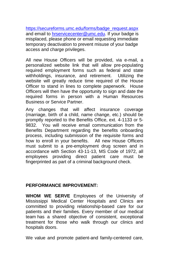[https://secureforms.umc.edu/forms/badge\\_request.aspx](https://secureforms.umc.edu/forms/badge_request.aspx) and email t[o hrservicecenter@umc.edu.](mailto:hrservicecenter@umc.edu) If your badge is misplaced, please phone or email requesting immediate temporary deactivation to prevent misuse of your badge access and charge privileges.

All new House Officers will be provided, via e-mail, a personalized website link that will allow pre-populating required employment forms such as federal and state withholdings, insurance, and retirement. Utilizing the website will greatly reduce time required of the House Officer to stand in lines to complete paperwork. House Officers will then have the opportunity to sign and date the required forms in person with a Human Resources Business or Service Partner.

Any changes that will affect insurance coverage (marriage, birth of a child, name change, etc.) should be promptly reported to the Benefits Office, ext. 4-1133 or 5- 9832. You will receive email communication from the Benefits Department regarding the benefits onboarding process, including submission of the requisite forms and how to enroll in your benefits. All new House Officers must submit to a pre-employment drug screen and in accordance with Section 43-11-13, MS Code of 1972, all employees providing direct patient care must be fingerprinted as part of a criminal background check.

### **PERFORMANCE IMPROVEMENT:**

**WHOM WE SERVE** Employees of the University of Mississippi Medical Center Hospitals and Clinics are committed to providing relationship-based care for our patients and their families. Every member of our medical team has a shared objective of consistent, exceptional treatment for those who walk through our clinics and hospitals doors.

We value and promote patient-and family-centered care,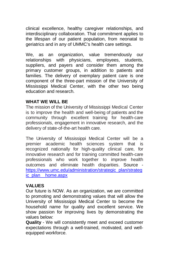clinical excellence, healthy caregiver relationships, and interdisciplinary collaboration. That commitment applies to the lifespan of our patient population, from neonatal to geriatrics and in any of UMMC's health care settings.

We, as an organization, value tremendously our relationships with physicians, employees, students, suppliers, and payers and consider them among the primary customer groups, in addition to patients and families. The delivery of exemplary patient care is one component of the three-part mission of the University of Mississippi Medical Center, with the other two being education and research.

### **WHAT WE WILL BE**

The mission of the University of Mississippi Medical Center is to improve the health and well-being of patients and the community through excellent training for health-care professionals, engagement in innovative research, and the delivery of state-of-the-art health care.

The University of Mississippi Medical Center will be a premier academic health sciences system that is recognized nationally for high-quality clinical care, for innovative research and for training committed health-care professionals who work together to improve health outcomes and eliminate health disparities. Source [https://www.umc.edu/administration/strategic\\_plan/strateg](https://www.umc.edu/administration/strategic_plan/strategic_plan__home.aspx)i [ic\\_plan\\_\\_home.aspx](https://www.umc.edu/administration/strategic_plan/strategic_plan__home.aspx)

# **VALUES**

Our future is NOW. As an organization, we are committed to promoting and demonstrating values that will allow the University of Mississippi Medical Center to become the household name for quality and excellent service. We show passion for improving lives by demonstrating the values below:

**Quality** - We will consistently meet and exceed customer expectations through a well-trained, motivated, and wellequipped workforce.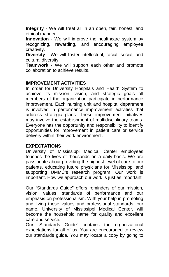**Integrity** - We will treat all in an open, fair, honest, and ethical manner.

**Innovation** - We will improve the healthcare system by recognizing, rewarding, and encouraging employee creativity.

**Diversity** - We will foster intellectual, racial, social, and cultural diversity.

**Teamwork** - We will support each other and promote collaboration to achieve results.

#### **IMPROVEMENT ACTIVITIES**

In order for University Hospitals and Health System to achieve its mission, vision, and strategic goals all members of the organization participate in performance improvement. Each nursing unit and hospital department is involved in performance improvement activities that address strategic plans. These improvement initiatives may involve the establishment of multidisciplinary teams. Everyone has the opportunity and responsibility to identify opportunities for improvement in patient care or service delivery within their work environment.

#### **EXPECTATIONS**

University of Mississippi Medical Center employees touches the lives of thousands on a daily basis. We are passionate about providing the highest level of care to our patients, educating future physicians for Mississippi and supporting UMMC's research program. Our work is important. How we approach our work is just as important!

Our "Standards Guide" offers reminders of our mission, vision, values, standards of performance and our emphasis on professionalism. With your help in promoting and living these values and professional standards, our name, University of Mississippi Medical Center, will become the household name for quality and excellent care and service.

Our "Standards Guide" contains the organizational expectations for all of us. You are encouraged to review our standards guide. You may locate a copy by going to